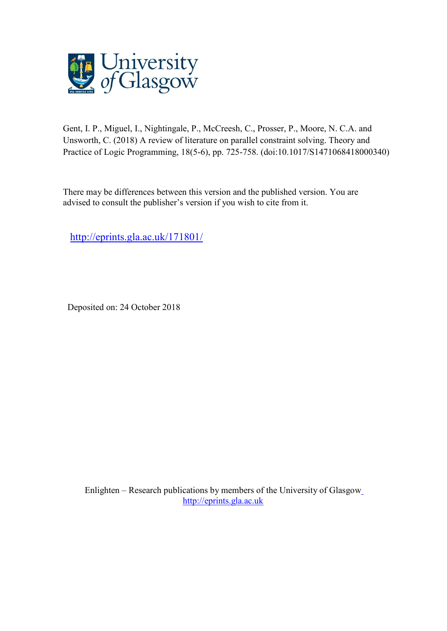

Gent, I. P., Miguel, I., Nightingale, P., McCreesh, C., Prosser, P., Moore, N. C.A. and Unsworth, C. (2018) A review of literature on parallel constraint solving. Theory and Practice of Logic Programming, 18(5-6), pp. 725-758. (doi:10.1017/S1471068418000340)

There may be differences between this version and the published version. You are advised to consult the publisher's version if you wish to cite from it.

<http://eprints.gla.ac.uk/171801/>

Deposited on: 24 October 2018

Enlighten – Research publications by members of the University of Glasgo[w](http://eprints.gla.ac.uk/) [http://eprints.gla.ac.uk](http://eprints.gla.ac.uk/)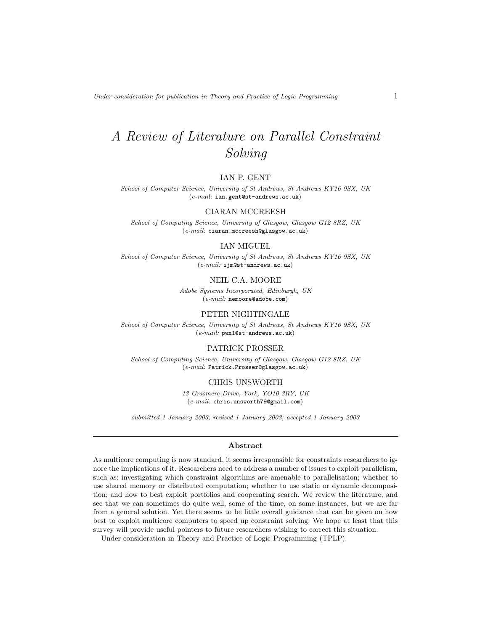Under consideration for publication in Theory and Practice of Logic Programming  $1$ 

# A Review of Literature on Parallel Constraint Solving

## IAN P. GENT

School of Computer Science, University of St Andrews, St Andrews KY16 9SX, UK (e-mail: ian.gent@st-andrews.ac.uk)

#### CIARAN MCCREESH

School of Computing Science, University of Glasgow, Glasgow G12 8RZ, UK  $(e-mail:$  ciaran.mccreesh@glasgow.ac.uk)

# IAN MIGUEL

School of Computer Science, University of St Andrews, St Andrews KY16 9SX, UK (e-mail: ijm@st-andrews.ac.uk)

#### NEIL C.A. MOORE

Adobe Systems Incorporated, Edinburgh, UK (e-mail: nemoore@adobe.com)

# PETER NIGHTINGALE

School of Computer Science, University of St Andrews, St Andrews KY16 9SX, UK (e-mail: pwn1@st-andrews.ac.uk)

#### PATRICK PROSSER

School of Computing Science, University of Glasgow, Glasgow G12 8RZ, UK (e-mail: Patrick.Prosser@glasgow.ac.uk)

#### CHRIS UNSWORTH

13 Grasmere Drive, York, YO10 3RY, UK (e-mail: chris.unsworth79@gmail.com)

submitted 1 January 2003; revised 1 January 2003; accepted 1 January 2003

#### Abstract

As multicore computing is now standard, it seems irresponsible for constraints researchers to ignore the implications of it. Researchers need to address a number of issues to exploit parallelism, such as: investigating which constraint algorithms are amenable to parallelisation; whether to use shared memory or distributed computation; whether to use static or dynamic decomposition; and how to best exploit portfolios and cooperating search. We review the literature, and see that we can sometimes do quite well, some of the time, on some instances, but we are far from a general solution. Yet there seems to be little overall guidance that can be given on how best to exploit multicore computers to speed up constraint solving. We hope at least that this survey will provide useful pointers to future researchers wishing to correct this situation.

Under consideration in Theory and Practice of Logic Programming (TPLP).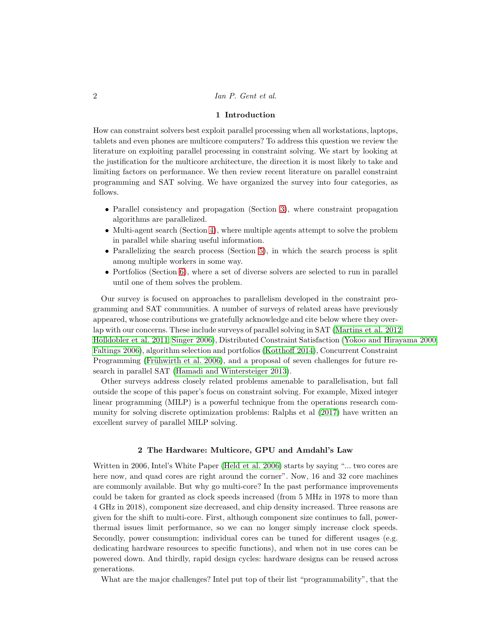#### 1 Introduction

How can constraint solvers best exploit parallel processing when all workstations, laptops, tablets and even phones are multicore computers? To address this question we review the literature on exploiting parallel processing in constraint solving. We start by looking at the justification for the multicore architecture, the direction it is most likely to take and limiting factors on performance. We then review recent literature on parallel constraint programming and SAT solving. We have organized the survey into four categories, as follows.

- Parallel consistency and propagation (Section [3\)](#page-4-0), where constraint propagation algorithms are parallelized.
- Multi-agent search (Section [4\)](#page-8-0), where multiple agents attempt to solve the problem in parallel while sharing useful information.
- Parallelizing the search process (Section [5\)](#page-12-0), in which the search process is split among multiple workers in some way.
- Portfolios (Section [6\)](#page-21-0), where a set of diverse solvers are selected to run in parallel until one of them solves the problem.

Our survey is focused on approaches to parallelism developed in the constraint programming and SAT communities. A number of surveys of related areas have previously appeared, whose contributions we gratefully acknowledge and cite below where they overlap with our concerns. These include surveys of parallel solving in SAT [\(Martins et al. 2012;](#page-29-0) Hölldobler et al. 2011; [Singer 2006\)](#page-31-0), Distributed Constraint Satisfaction [\(Yokoo and Hirayama 2000;](#page-31-1) Faltings 2006), algorithm selection and portfolios [\(Kotthoff 2014\)](#page-28-0), Concurrent Constraint Programming (Frühwirth et al. 2006), and a proposal of seven challenges for future research in parallel SAT [\(Hamadi and Wintersteiger 2013\)](#page-27-1).

Other surveys address closely related problems amenable to parallelisation, but fall outside the scope of this paper's focus on constraint solving. For example, Mixed integer linear programming (MILP) is a powerful technique from the operations research community for solving discrete optimization problems: Ralphs et al [\(2017\)](#page-30-0) have written an excellent survey of parallel MILP solving.

### 2 The Hardware: Multicore, GPU and Amdahl's Law

Written in 2006, Intel's White Paper [\(Held et al. 2006\)](#page-27-2) starts by saying "... two cores are here now, and quad cores are right around the corner". Now, 16 and 32 core machines are commonly available. But why go multi-core? In the past performance improvements could be taken for granted as clock speeds increased (from 5 MHz in 1978 to more than 4 GHz in 2018), component size decreased, and chip density increased. Three reasons are given for the shift to multi-core. First, although component size continues to fall, powerthermal issues limit performance, so we can no longer simply increase clock speeds. Secondly, power consumption: individual cores can be tuned for different usages (e.g. dedicating hardware resources to specific functions), and when not in use cores can be powered down. And thirdly, rapid design cycles: hardware designs can be reused across generations.

What are the major challenges? Intel put top of their list "programmability", that the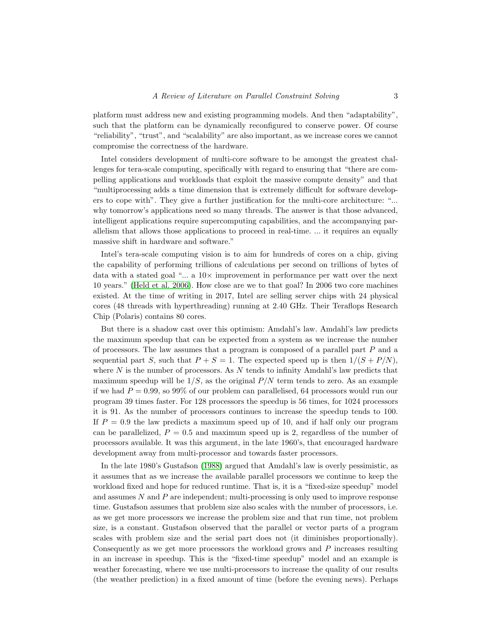platform must address new and existing programming models. And then "adaptability", such that the platform can be dynamically reconfigured to conserve power. Of course "reliability", "trust", and "scalability" are also important, as we increase cores we cannot compromise the correctness of the hardware.

Intel considers development of multi-core software to be amongst the greatest challenges for tera-scale computing, specifically with regard to ensuring that "there are compelling applications and workloads that exploit the massive compute density" and that "multiprocessing adds a time dimension that is extremely difficult for software developers to cope with". They give a further justification for the multi-core architecture: "... why tomorrow's applications need so many threads. The answer is that those advanced, intelligent applications require supercomputing capabilities, and the accompanying parallelism that allows those applications to proceed in real-time. ... it requires an equally massive shift in hardware and software."

Intel's tera-scale computing vision is to aim for hundreds of cores on a chip, giving the capability of performing trillions of calculations per second on trillions of bytes of data with a stated goal " $\ldots$  a  $10\times$  improvement in performance per watt over the next 10 years." [\(Held et al. 2006\)](#page-27-2). How close are we to that goal? In 2006 two core machines existed. At the time of writing in 2017, Intel are selling server chips with 24 physical cores (48 threads with hyperthreading) running at 2.40 GHz. Their Teraflops Research Chip (Polaris) contains 80 cores.

But there is a shadow cast over this optimism: Amdahl's law. Amdahl's law predicts the maximum speedup that can be expected from a system as we increase the number of processors. The law assumes that a program is composed of a parallel part P and a sequential part S, such that  $P + S = 1$ . The expected speed up is then  $1/(S + P/N)$ , where  $N$  is the number of processors. As  $N$  tends to infinity Amdahl's law predicts that maximum speedup will be  $1/S$ , as the original  $P/N$  term tends to zero. As an example if we had  $P = 0.99$ , so 99% of our problem can parallelised, 64 processors would run our program 39 times faster. For 128 processors the speedup is 56 times, for 1024 processors it is 91. As the number of processors continues to increase the speedup tends to 100. If  $P = 0.9$  the law predicts a maximum speed up of 10, and if half only our program can be parallelized,  $P = 0.5$  and maximum speed up is 2, regardless of the number of processors available. It was this argument, in the late 1960's, that encouraged hardware development away from multi-processor and towards faster processors.

In the late 1980's Gustafson [\(1988\)](#page-27-3) argued that Amdahl's law is overly pessimistic, as it assumes that as we increase the available parallel processors we continue to keep the workload fixed and hope for reduced runtime. That is, it is a "fixed-size speedup" model and assumes  $N$  and  $P$  are independent; multi-processing is only used to improve response time. Gustafson assumes that problem size also scales with the number of processors, i.e. as we get more processors we increase the problem size and that run time, not problem size, is a constant. Gustafson observed that the parallel or vector parts of a program scales with problem size and the serial part does not (it diminishes proportionally). Consequently as we get more processors the workload grows and P increases resulting in an increase in speedup. This is the "fixed-time speedup" model and an example is weather forecasting, where we use multi-processors to increase the quality of our results (the weather prediction) in a fixed amount of time (before the evening news). Perhaps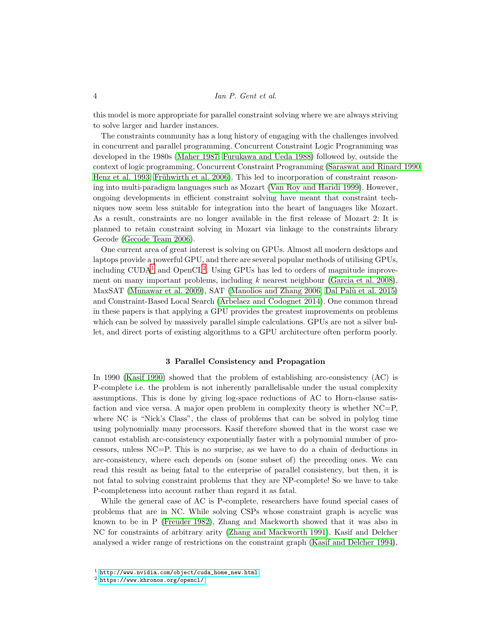this model is more appropriate for parallel constraint solving where we are always striving to solve larger and harder instances.

The constraints community has a long history of engaging with the challenges involved in concurrent and parallel programming. Concurrent Constraint Logic Programming was developed in the 1980s (Maher 1987; Furukawa and Ueda 1988) followed by, outside the context of logic programming, Concurrent Constraint Programming [\(Saraswat and Rinard 1990;](#page-31-2) Henz et al. 1993; Frühwirth et al. 2006). This led to incorporation of constraint reasoning into multi-paradigm languages such as Mozart [\(Van Roy and Haridi 1999\)](#page-31-3). However, ongoing developments in efficient constraint solving have meant that constraint techniques now seem less suitable for integration into the heart of languages like Mozart. As a result, constraints are no longer available in the first release of Mozart 2: It is planned to retain constraint solving in Mozart via linkage to the constraints library Gecode [\(Gecode Team 2006\)](#page-27-4).

One current area of great interest is solving on GPUs. Almost all modern desktops and laptops provide a powerful GPU, and there are several popular methods of utilising GPUs, including  $\text{CUDA}^1$  $\text{CUDA}^1$  and  $\text{OpenCL}^2$  $\text{OpenCL}^2$ . Using GPUs has led to orders of magnitude improvement on many important problems, including  $k$  nearest neighbour (Garcia et al. 2008), MaxSAT [\(Munawar et al. 2009\)](#page-29-1), SAT [\(Manolios and Zhang 2006;](#page-29-2) Dal Palù et al. 2015) and Constraint-Based Local Search [\(Arbelaez and Codognet 2014\)](#page-24-0). One common thread in these papers is that applying a GPU provides the greatest improvements on problems which can be solved by massively parallel simple calculations. GPUs are not a silver bullet, and direct ports of existing algorithms to a GPU architecture often perform poorly.

### 3 Parallel Consistency and Propagation

<span id="page-4-0"></span>In 1990 [\(Kasif 1990\)](#page-28-1) showed that the problem of establishing arc-consistency (AC) is P-complete i.e. the problem is not inherently parallelisable under the usual complexity assumptions. This is done by giving log-space reductions of AC to Horn-clause satisfaction and vice versa. A major open problem in complexity theory is whether NC=P, where NC is "Nick's Class", the class of problems that can be solved in polylog time using polynomially many processors. Kasif therefore showed that in the worst case we cannot establish arc-consistency exponentially faster with a polynomial number of processors, unless NC=P. This is no surprise, as we have to do a chain of deductions in arc-consistency, where each depends on (some subset of) the preceding ones. We can read this result as being fatal to the enterprise of parallel consistency, but then, it is not fatal to solving constraint problems that they are NP-complete! So we have to take P-completeness into account rather than regard it as fatal.

While the general case of AC is P-complete, researchers have found special cases of problems that are in NC. While solving CSPs whose constraint graph is acyclic was known to be in P (Freuder 1982), Zhang and Mackworth showed that it was also in NC for constraints of arbitrary arity [\(Zhang and Mackworth 1991\)](#page-32-0). Kasif and Delcher analysed a wider range of restrictions on the constraint graph (Kasif and Delcher 1994),

 $1$  [http://www.nvidia.com/object/cuda\\_home\\_new.html](http://www.nvidia.com/object/cuda_home_new.html)

<span id="page-4-2"></span><span id="page-4-1"></span><sup>2</sup> <https://www.khronos.org/opencl/>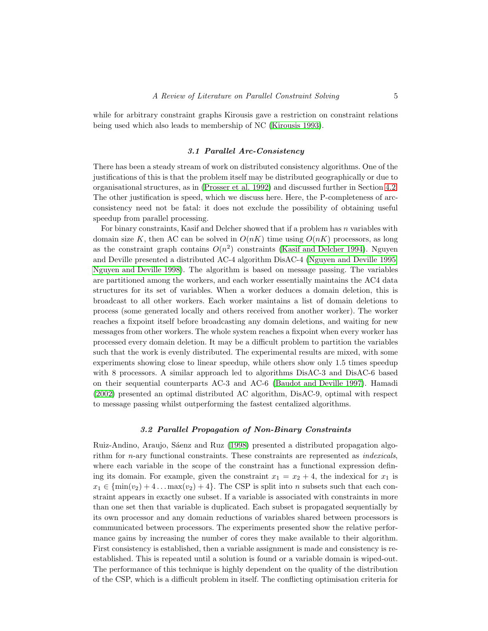while for arbitrary constraint graphs Kirousis gave a restriction on constraint relations being used which also leads to membership of NC [\(Kirousis 1993\)](#page-28-2).

#### 3.1 Parallel Arc-Consistency

There has been a steady stream of work on distributed consistency algorithms. One of the justifications of this is that the problem itself may be distributed geographically or due to organisational structures, as in [\(Prosser et al. 1992\)](#page-30-1) and discussed further in Section [4.2.](#page-11-0) The other justification is speed, which we discuss here. Here, the P-completeness of arcconsistency need not be fatal: it does not exclude the possibility of obtaining useful speedup from parallel processing.

For binary constraints, Kasif and Delcher showed that if a problem has n variables with domain size K, then AC can be solved in  $O(nK)$  time using  $O(nK)$  processors, as long as the constraint graph contains  $O(n^2)$  constraints (Kasif and Delcher 1994). Nguyen and Deville presented a distributed AC-4 algorithm DisAC-4 [\(Nguyen and Deville 1995;](#page-30-2) [Nguyen and Deville 1998\)](#page-30-3). The algorithm is based on message passing. The variables are partitioned among the workers, and each worker essentially maintains the AC4 data structures for its set of variables. When a worker deduces a domain deletion, this is broadcast to all other workers. Each worker maintains a list of domain deletions to process (some generated locally and others received from another worker). The worker reaches a fixpoint itself before broadcasting any domain deletions, and waiting for new messages from other workers. The whole system reaches a fixpoint when every worker has processed every domain deletion. It may be a difficult problem to partition the variables such that the work is evenly distributed. The experimental results are mixed, with some experiments showing close to linear speedup, while others show only 1.5 times speedup with 8 processors. A similar approach led to algorithms DisAC-3 and DisAC-6 based on their sequential counterparts AC-3 and AC-6 [\(Baudot and Deville 1997\)](#page-24-1). Hamadi [\(2002\)](#page-27-5) presented an optimal distributed AC algorithm, DisAC-9, optimal with respect to message passing whilst outperforming the fastest centalized algorithms.

#### 3.2 Parallel Propagation of Non-Binary Constraints

Ruiz-Andino, Araujo, Sáenz and Ruz [\(1998\)](#page-30-4) presented a distributed propagation algorithm for n-ary functional constraints. These constraints are represented as indexicals, where each variable in the scope of the constraint has a functional expression defining its domain. For example, given the constraint  $x_1 = x_2 + 4$ , the indexical for  $x_1$  is  $x_1 \in \{\min(v_2) + 4...\max(v_2) + 4\}.$  The CSP is split into n subsets such that each constraint appears in exactly one subset. If a variable is associated with constraints in more than one set then that variable is duplicated. Each subset is propagated sequentially by its own processor and any domain reductions of variables shared between processors is communicated between processors. The experiments presented show the relative performance gains by increasing the number of cores they make available to their algorithm. First consistency is established, then a variable assignment is made and consistency is reestablished. This is repeated until a solution is found or a variable domain is wiped-out. The performance of this technique is highly dependent on the quality of the distribution of the CSP, which is a difficult problem in itself. The conflicting optimisation criteria for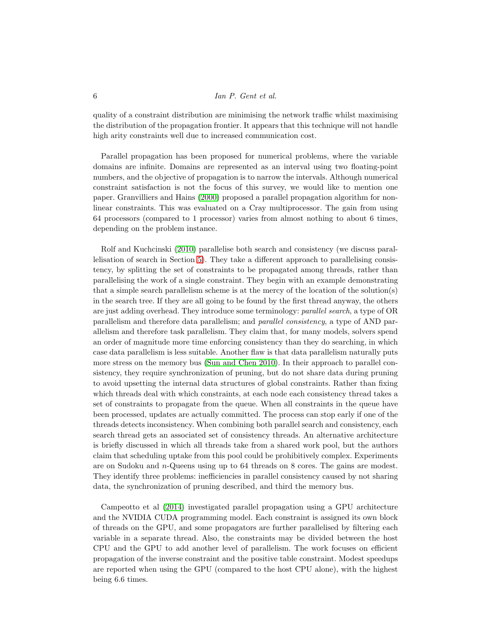quality of a constraint distribution are minimising the network traffic whilst maximising the distribution of the propagation frontier. It appears that this technique will not handle high arity constraints well due to increased communication cost.

Parallel propagation has been proposed for numerical problems, where the variable domains are infinite. Domains are represented as an interval using two floating-point numbers, and the objective of propagation is to narrow the intervals. Although numerical constraint satisfaction is not the focus of this survey, we would like to mention one paper. Granvilliers and Hains [\(2000\)](#page-27-6) proposed a parallel propagation algorithm for nonlinear constraints. This was evaluated on a Cray multiprocessor. The gain from using 64 processors (compared to 1 processor) varies from almost nothing to about 6 times, depending on the problem instance.

Rolf and Kuchcinski [\(2010\)](#page-30-5) parallelise both search and consistency (we discuss parallelisation of search in Section [5\)](#page-12-0). They take a different approach to parallelising consistency, by splitting the set of constraints to be propagated among threads, rather than parallelising the work of a single constraint. They begin with an example demonstrating that a simple search parallelism scheme is at the mercy of the location of the solution(s) in the search tree. If they are all going to be found by the first thread anyway, the others are just adding overhead. They introduce some terminology: parallel search, a type of OR parallelism and therefore data parallelism; and parallel consistency, a type of AND parallelism and therefore task parallelism. They claim that, for many models, solvers spend an order of magnitude more time enforcing consistency than they do searching, in which case data parallelism is less suitable. Another flaw is that data parallelism naturally puts more stress on the memory bus [\(Sun and Chen 2010\)](#page-31-4). In their approach to parallel consistency, they require synchronization of pruning, but do not share data during pruning to avoid upsetting the internal data structures of global constraints. Rather than fixing which threads deal with which constraints, at each node each consistency thread takes a set of constraints to propagate from the queue. When all constraints in the queue have been processed, updates are actually committed. The process can stop early if one of the threads detects inconsistency. When combining both parallel search and consistency, each search thread gets an associated set of consistency threads. An alternative architecture is briefly discussed in which all threads take from a shared work pool, but the authors claim that scheduling uptake from this pool could be prohibitively complex. Experiments are on Sudoku and n-Queens using up to 64 threads on 8 cores. The gains are modest. They identify three problems: inefficiencies in parallel consistency caused by not sharing data, the synchronization of pruning described, and third the memory bus.

Campeotto et al [\(2014\)](#page-25-1) investigated parallel propagation using a GPU architecture and the NVIDIA CUDA programming model. Each constraint is assigned its own block of threads on the GPU, and some propagators are further parallelised by filtering each variable in a separate thread. Also, the constraints may be divided between the host CPU and the GPU to add another level of parallelism. The work focuses on efficient propagation of the inverse constraint and the positive table constraint. Modest speedups are reported when using the GPU (compared to the host CPU alone), with the highest being 6.6 times.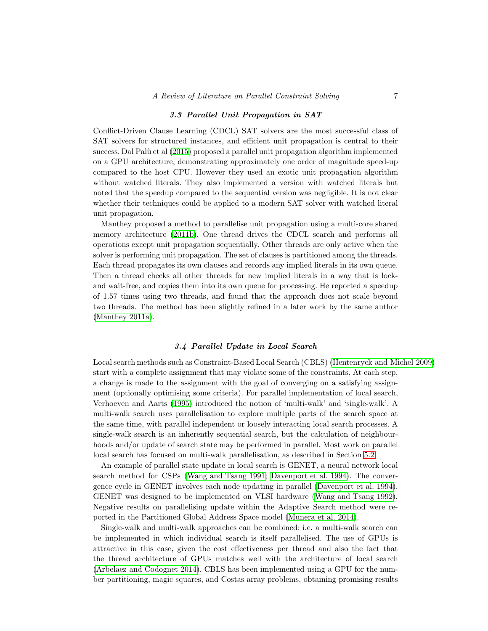#### 3.3 Parallel Unit Propagation in SAT

Conflict-Driven Clause Learning (CDCL) SAT solvers are the most successful class of SAT solvers for structured instances, and efficient unit propagation is central to their success. Dal Palù et al [\(2015\)](#page-25-0) proposed a parallel unit propagation algorithm implemented on a GPU architecture, demonstrating approximately one order of magnitude speed-up compared to the host CPU. However they used an exotic unit propagation algorithm without watched literals. They also implemented a version with watched literals but noted that the speedup compared to the sequential version was negligible. It is not clear whether their techniques could be applied to a modern SAT solver with watched literal unit propagation.

Manthey proposed a method to parallelise unit propagation using a multi-core shared memory architecture [\(2011b\)](#page-29-3). One thread drives the CDCL search and performs all operations except unit propagation sequentially. Other threads are only active when the solver is performing unit propagation. The set of clauses is partitioned among the threads. Each thread propagates its own clauses and records any implied literals in its own queue. Then a thread checks all other threads for new implied literals in a way that is lockand wait-free, and copies them into its own queue for processing. He reported a speedup of 1.57 times using two threads, and found that the approach does not scale beyond two threads. The method has been slightly refined in a later work by the same author [\(Manthey 2011a\)](#page-29-4).

#### 3.4 Parallel Update in Local Search

<span id="page-7-0"></span>Local search methods such as Constraint-Based Local Search (CBLS) [\(Hentenryck and Michel 2009\)](#page-27-7) start with a complete assignment that may violate some of the constraints. At each step, a change is made to the assignment with the goal of converging on a satisfying assignment (optionally optimising some criteria). For parallel implementation of local search, Verhoeven and Aarts [\(1995\)](#page-31-5) introduced the notion of 'multi-walk' and 'single-walk'. A multi-walk search uses parallelisation to explore multiple parts of the search space at the same time, with parallel independent or loosely interacting local search processes. A single-walk search is an inherently sequential search, but the calculation of neighbourhoods and/or update of search state may be performed in parallel. Most work on parallel local search has focused on multi-walk parallelisation, as described in Section [5.2.](#page-14-0)

An example of parallel state update in local search is GENET, a neural network local search method for CSPs [\(Wang and Tsang 1991;](#page-31-6) Davenport et al. 1994). The convergence cycle in GENET involves each node updating in parallel (Davenport et al. 1994). GENET was designed to be implemented on VLSI hardware [\(Wang and Tsang 1992\)](#page-31-7). Negative results on parallelising update within the Adaptive Search method were reported in the Partitioned Global Address Space model [\(Munera et al. 2014\)](#page-29-5).

Single-walk and multi-walk approaches can be combined: i.e. a multi-walk search can be implemented in which individual search is itself parallelised. The use of GPUs is attractive in this case, given the cost effectiveness per thread and also the fact that the thread architecture of GPUs matches well with the architecture of local search [\(Arbelaez and Codognet 2014\)](#page-24-0). CBLS has been implemented using a GPU for the number partitioning, magic squares, and Costas array problems, obtaining promising results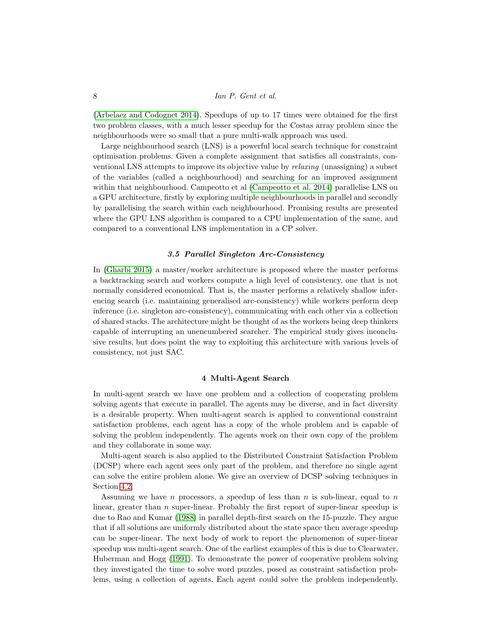[\(Arbelaez and Codognet 2014\)](#page-24-0). Speedups of up to 17 times were obtained for the first two problem classes, with a much lesser speedup for the Costas array problem since the neighbourhoods were so small that a pure multi-walk approach was used.

Large neighbourhood search (LNS) is a powerful local search technique for constraint optimisation problems. Given a complete assignment that satisfies all constraints, conventional LNS attempts to improve its objective value by relaxing (unassigning) a subset of the variables (called a neighbourhood) and searching for an improved assignment within that neighbourhood. Campeotto et al [\(Campeotto et al. 2014\)](#page-25-2) parallelise LNS on a GPU architecture, firstly by exploring multiple neighbourhoods in parallel and secondly by parallelising the search within each neighbourhood. Promising results are presented where the GPU LNS algorithm is compared to a CPU implementation of the same, and compared to a conventional LNS implementation in a CP solver.

## 3.5 Parallel Singleton Arc-Consistency

In [\(Gharbi 2015\)](#page-27-8) a master/worker architecture is proposed where the master performs a backtracking search and workers compute a high level of consistency, one that is not normally considered economical. That is, the master performs a relatively shallow inferencing search (i.e. maintaining generalised arc-consistency) while workers perform deep inference (i.e. singleton arc-consistency), communicating with each other via a collection of shared stacks. The architecture might be thought of as the workers being deep thinkers capable of interrupting an unencumbered searcher. The empirical study gives inconclusive results, but does point the way to exploiting this architecture with various levels of consistency, not just SAC.

#### 4 Multi-Agent Search

<span id="page-8-0"></span>In multi-agent search we have one problem and a collection of cooperating problem solving agents that execute in parallel. The agents may be diverse, and in fact diversity is a desirable property. When multi-agent search is applied to conventional constraint satisfaction problems, each agent has a copy of the whole problem and is capable of solving the problem independently. The agents work on their own copy of the problem and they collaborate in some way.

Multi-agent search is also applied to the Distributed Constraint Satisfaction Problem (DCSP) where each agent sees only part of the problem, and therefore no single agent can solve the entire problem alone. We give an overview of DCSP solving techniques in Section [4.2.](#page-11-0)

Assuming we have  $n$  processors, a speedup of less than  $n$  is sub-linear, equal to  $n$ linear, greater than n super-linear. Probably the first report of super-linear speedup is due to Rao and Kumar [\(1988\)](#page-30-6) in parallel depth-first search on the 15-puzzle. They argue that if all solutions are uniformly distributed about the state space then average speedup can be super-linear. The next body of work to report the phenomenon of super-linear speedup was multi-agent search. One of the earliest examples of this is due to Clearwater, Huberman and Hogg [\(1991\)](#page-25-3). To demonstrate the power of cooperative problem solving they investigated the time to solve word puzzles, posed as constraint satisfaction problems, using a collection of agents. Each agent could solve the problem independently.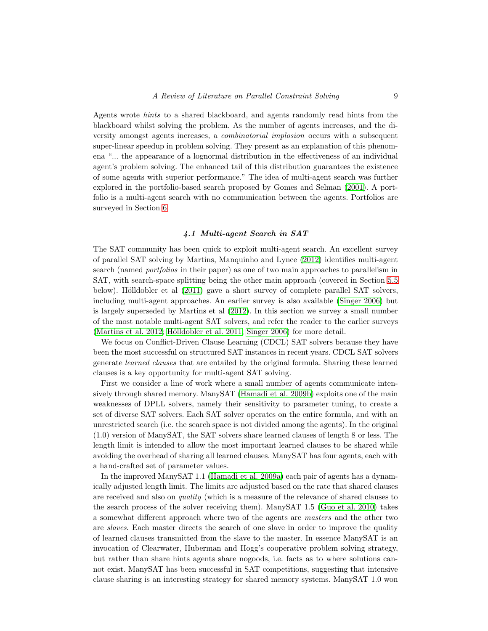Agents wrote hints to a shared blackboard, and agents randomly read hints from the blackboard whilst solving the problem. As the number of agents increases, and the diversity amongst agents increases, a combinatorial implosion occurs with a subsequent super-linear speedup in problem solving. They present as an explanation of this phenomena "... the appearance of a lognormal distribution in the effectiveness of an individual agent's problem solving. The enhanced tail of this distribution guarantees the existence of some agents with superior performance." The idea of multi-agent search was further explored in the portfolio-based search proposed by Gomes and Selman [\(2001\)](#page-27-9). A portfolio is a multi-agent search with no communication between the agents. Portfolios are surveyed in Section [6.](#page-21-0)

# 4.1 Multi-agent Search in SAT

<span id="page-9-0"></span>The SAT community has been quick to exploit multi-agent search. An excellent survey of parallel SAT solving by Martins, Manquinho and Lynce [\(2012\)](#page-29-0) identifies multi-agent search (named portfolios in their paper) as one of two main approaches to parallelism in SAT, with search-space splitting being the other main approach (covered in Section [5.5](#page-18-0) below). Hölldobler et al [\(2011\)](#page-27-0) gave a short survey of complete parallel SAT solvers, including multi-agent approaches. An earlier survey is also available [\(Singer 2006\)](#page-31-0) but is largely superseded by Martins et al [\(2012\)](#page-29-0). In this section we survey a small number of the most notable multi-agent SAT solvers, and refer the reader to the earlier surveys [\(Martins et al. 2012;](#page-29-0) Hölldobler et al. 2011; [Singer 2006\)](#page-31-0) for more detail.

We focus on Conflict-Driven Clause Learning (CDCL) SAT solvers because they have been the most successful on structured SAT instances in recent years. CDCL SAT solvers generate learned clauses that are entailed by the original formula. Sharing these learned clauses is a key opportunity for multi-agent SAT solving.

First we consider a line of work where a small number of agents communicate intensively through shared memory. ManySAT [\(Hamadi et al. 2009b\)](#page-27-10) exploits one of the main weaknesses of DPLL solvers, namely their sensitivity to parameter tuning, to create a set of diverse SAT solvers. Each SAT solver operates on the entire formula, and with an unrestricted search (i.e. the search space is not divided among the agents). In the original (1.0) version of ManySAT, the SAT solvers share learned clauses of length 8 or less. The length limit is intended to allow the most important learned clauses to be shared while avoiding the overhead of sharing all learned clauses. ManySAT has four agents, each with a hand-crafted set of parameter values.

In the improved ManySAT 1.1 [\(Hamadi et al. 2009a\)](#page-27-11) each pair of agents has a dynamically adjusted length limit. The limits are adjusted based on the rate that shared clauses are received and also on quality (which is a measure of the relevance of shared clauses to the search process of the solver receiving them). ManySAT 1.5 [\(Guo et al. 2010\)](#page-27-12) takes a somewhat different approach where two of the agents are masters and the other two are *slaves*. Each master directs the search of one slave in order to improve the quality of learned clauses transmitted from the slave to the master. In essence ManySAT is an invocation of Clearwater, Huberman and Hogg's cooperative problem solving strategy, but rather than share hints agents share nogoods, i.e. facts as to where solutions cannot exist. ManySAT has been successful in SAT competitions, suggesting that intensive clause sharing is an interesting strategy for shared memory systems. ManySAT 1.0 won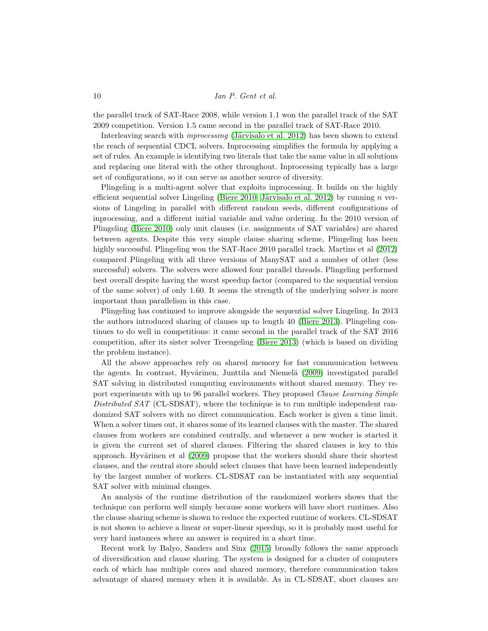the parallel track of SAT-Race 2008, while version 1.1 won the parallel track of the SAT 2009 competition. Version 1.5 came second in the parallel track of SAT-Race 2010.

Interleaving search with *inprocessing* (Järvisalo et al. 2012) has been shown to extend the reach of sequential CDCL solvers. Inprocessing simplifies the formula by applying a set of rules. An example is identifying two literals that take the same value in all solutions and replacing one literal with the other throughout. Inprocessing typically has a large set of configurations, so it can serve as another source of diversity.

Plingeling is a multi-agent solver that exploits inprocessing. It builds on the highly efficient sequential solver Lingeling [\(Biere 2010;](#page-24-2) Järvisalo et al. 2012) by running  $n$  versions of Lingeling in parallel with different random seeds, different configurations of inprocessing, and a different initial variable and value ordering. In the 2010 version of Plingeling [\(Biere 2010\)](#page-24-2) only unit clauses (i.e. assignments of SAT variables) are shared between agents. Despite this very simple clause sharing scheme, Plingeling has been highly successful. Plingeling won the SAT-Race 2010 parallel track. Martins et al [\(2012\)](#page-29-0) compared Plingeling with all three versions of ManySAT and a number of other (less successful) solvers. The solvers were allowed four parallel threads. Plingeling performed best overall despite having the worst speedup factor (compared to the sequential version of the same solver) of only 1.60. It seems the strength of the underlying solver is more important than parallelism in this case.

Plingeling has continued to improve alongside the sequential solver Lingeling. In 2013 the authors introduced sharing of clauses up to length 40 [\(Biere 2013\)](#page-24-3). Plingeling continues to do well in competitions: it came second in the parallel track of the SAT 2016 competition, after its sister solver Treengeling [\(Biere 2013\)](#page-24-3) (which is based on dividing the problem instance).

All the above approaches rely on shared memory for fast communication between the agents. In contrast, Hyvärinen, Junttila and Niemelä [\(2009\)](#page-28-4) investigated parallel SAT solving in distributed computing environments without shared memory. They report experiments with up to 96 parallel workers. They proposed Clause Learning Simple Distributed SAT (CL-SDSAT), where the technique is to run multiple independent randomized SAT solvers with no direct communication. Each worker is given a time limit. When a solver times out, it shares some of its learned clauses with the master. The shared clauses from workers are combined centrally, and whenever a new worker is started it is given the current set of shared clauses. Filtering the shared clauses is key to this approach. Hyvärinen et al [\(2009\)](#page-28-4) propose that the workers should share their shortest clauses, and the central store should select clauses that have been learned independently by the largest number of workers. CL-SDSAT can be instantiated with any sequential SAT solver with minimal changes.

An analysis of the runtime distribution of the randomized workers shows that the technique can perform well simply because some workers will have short runtimes. Also the clause sharing scheme is shown to reduce the expected runtime of workers. CL-SDSAT is not shown to achieve a linear or super-linear speedup, so it is probably most useful for very hard instances where an answer is required in a short time.

Recent work by Balyo, Sanders and Sinz [\(2015\)](#page-24-4) broadly follows the same approach of diversification and clause sharing. The system is designed for a cluster of computers each of which has multiple cores and shared memory, therefore communication takes advantage of shared memory when it is available. As in CL-SDSAT, short clauses are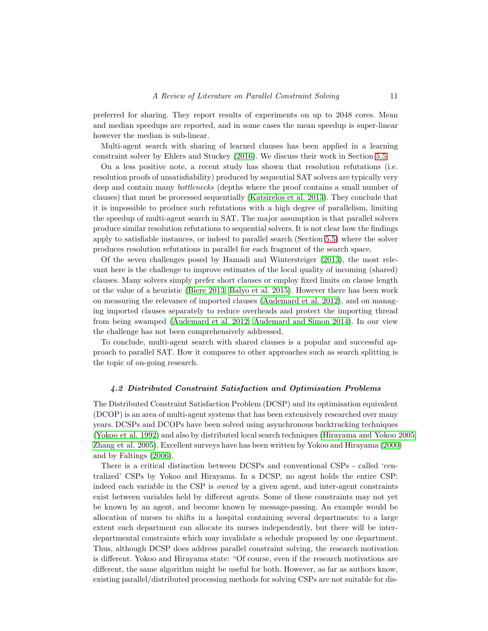preferred for sharing. They report results of experiments on up to 2048 cores. Mean and median speedups are reported, and in some cases the mean speedup is super-linear however the median is sub-linear.

Multi-agent search with sharing of learned clauses has been applied in a learning constraint solver by Ehlers and Stuckey (2016). We discuss their work in Section [5.5.](#page-18-0)

On a less positive note, a recent study has shown that resolution refutations (i.e. resolution proofs of unsatisfiability) produced by sequential SAT solvers are typically very deep and contain many bottlenecks (depths where the proof contains a small number of clauses) that must be processed sequentially [\(Katsirelos et al. 2013\)](#page-28-5). They conclude that it is impossible to produce such refutations with a high degree of parallelism, limiting the speedup of multi-agent search in SAT. The major assumption is that parallel solvers produce similar resolution refutations to sequential solvers. It is not clear how the findings apply to satisfiable instances, or indeed to parallel search (Section [5.5\)](#page-18-0) where the solver produces resolution refutations in parallel for each fragment of the search space.

Of the seven challenges posed by Hamadi and Wintersteiger [\(2013\)](#page-27-1), the most relevant here is the challenge to improve estimates of the local quality of incoming (shared) clauses. Many solvers simply prefer short clauses or employ fixed limits on clause length or the value of a heuristic [\(Biere 2013;](#page-24-3) [Balyo et al. 2015\)](#page-24-4). However there has been work on measuring the relevance of imported clauses [\(Audemard et al. 2012\)](#page-24-5), and on managing imported clauses separately to reduce overheads and protect the importing thread from being swamped [\(Audemard et al. 2012;](#page-24-5) [Audemard and Simon 2014\)](#page-24-6). In our view the challenge has not been comprehensively addressed.

To conclude, multi-agent search with shared clauses is a popular and successful approach to parallel SAT. How it compares to other approaches such as search splitting is the topic of on-going research.

# <span id="page-11-0"></span>4.2 Distributed Constraint Satisfaction and Optimisation Problems

The Distributed Constraint Satisfaction Problem (DCSP) and its optimisation equivalent (DCOP) is an area of multi-agent systems that has been extensively researched over many years. DCSPs and DCOPs have been solved using asynchronous backtracking techniques [\(Yokoo et al. 1992\)](#page-31-8) and also by distributed local search techniques (Hirayama and Yokoo 2005; [Zhang et al. 2005\)](#page-31-9). Excellent surveys have has been written by Yokoo and Hirayama [\(2000\)](#page-31-1) and by Faltings (2006).

There is a critical distinction between DCSPs and conventional CSPs - called 'centralized' CSPs by Yokoo and Hirayama. In a DCSP, no agent holds the entire CSP: indeed each variable in the CSP is owned by a given agent, and inter-agent constraints exist between variables held by different agents. Some of these constraints may not yet be known by an agent, and become known by message-passing. An example would be allocation of nurses to shifts in a hospital containing several departments: to a large extent each department can allocate its nurses independently, but there will be interdepartmental constraints which may invalidate a schedule proposed by one department. Thus, although DCSP does address parallel constraint solving, the research motivation is different. Yokoo and Hirayama state: "Of course, even if the research motivations are different, the same algorithm might be useful for both. However, as far as authors know, existing parallel/distributed processing methods for solving CSPs are not suitable for dis-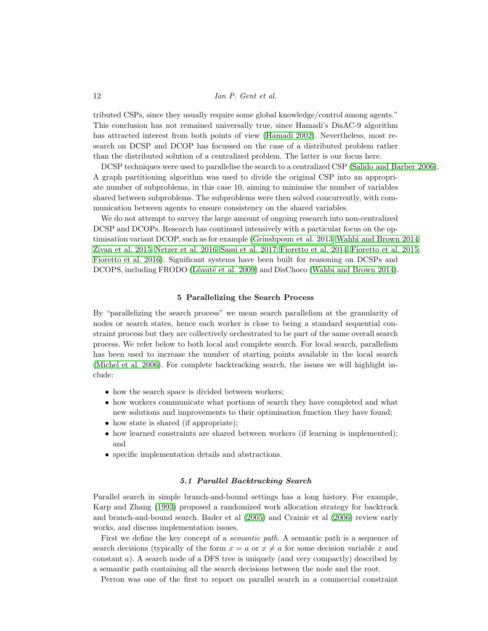tributed CSPs, since they usually require some global knowledge/control among agents." This conclusion has not remained universally true, since Hamadi's DisAC-9 algorithm has attracted interest from both points of view [\(Hamadi 2002\)](#page-27-5). Nevertheless, most research on DCSP and DCOP has focussed on the case of a distributed problem rather than the distributed solution of a centralized problem. The latter is our focus here.

DCSP techniques were used to parallelise the search to a centralized CSP (Salido and Barber 2006). A graph partitioning algorithm was used to divide the original CSP into an appropriate number of subproblems, in this case 10, aiming to minimise the number of variables shared between subproblems. The subproblems were then solved concurrently, with communication between agents to ensure consistency on the shared variables.

We do not attempt to survey the large amount of ongoing research into non-centralized DCSP and DCOPs. Research has continued intensively with a particular focus on the optimisation variant DCOP, such as for example (Grinshpoun et al. 2013; [Wahbi and Brown 2014;](#page-31-10) [Zivan et al. 2015;](#page-32-1) [Netzer et al. 2016;](#page-30-7) [Sassi et al. 2017;](#page-31-11) [Fioretto et al. 2014;](#page-26-0) [Fioretto et al. 2015;](#page-26-1) [Fioretto et al. 2016\)](#page-26-2). Significant systems have been built for reasoning on DCSPs and DCOPS, including FRODO (Léauté et al. 2009) and DisChoco [\(Wahbi and Brown 2014\)](#page-31-10).

### 5 Parallelizing the Search Process

<span id="page-12-0"></span>By "parallelizing the search process" we mean search parallelism at the granularity of nodes or search states, hence each worker is close to being a standard sequential constraint process but they are collectively orchestrated to be part of the same overall search process. We refer below to both local and complete search. For local search, parallelism has been used to increase the number of starting points available in the local search [\(Michel et al. 2006\)](#page-29-6). For complete backtracking search, the issues we will highlight include:

- how the search space is divided between workers;
- how workers communicate what portions of search they have completed and what new solutions and improvements to their optimisation function they have found;
- how state is shared (if appropriate);
- how learned constraints are shared between workers (if learning is implemented); and
- specific implementation details and abstractions.

## 5.1 Parallel Backtracking Search

Parallel search in simple branch-and-bound settings has a long history. For example, Karp and Zhang [\(1993\)](#page-28-7) proposed a randomized work allocation strategy for backtrack and branch-and-bound search. Bader et al [\(2005\)](#page-24-7) and Crainic et al [\(2006\)](#page-25-4) review early works, and discuss implementation issues.

First we define the key concept of a semantic path. A semantic path is a sequence of search decisions (typically of the form  $x = a$  or  $x \neq a$  for some decision variable x and constant a). A search node of a DFS tree is uniquely (and very compactly) described by a semantic path containing all the search decisions between the node and the root.

Perron was one of the first to report on parallel search in a commercial constraint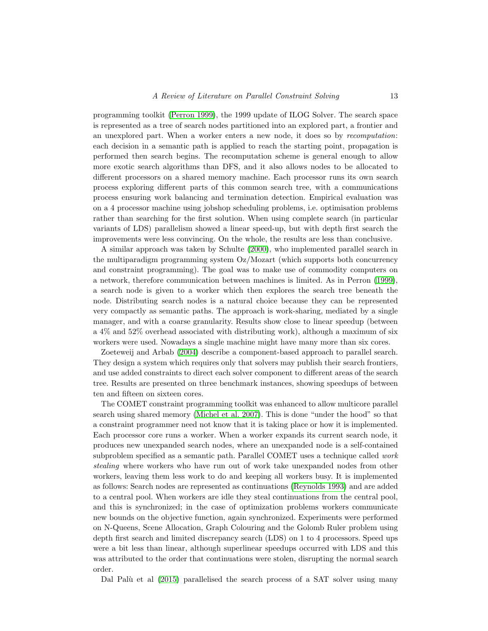programming toolkit [\(Perron 1999\)](#page-30-8), the 1999 update of ILOG Solver. The search space is represented as a tree of search nodes partitioned into an explored part, a frontier and an unexplored part. When a worker enters a new node, it does so by recomputation: each decision in a semantic path is applied to reach the starting point, propagation is performed then search begins. The recomputation scheme is general enough to allow more exotic search algorithms than DFS, and it also allows nodes to be allocated to different processors on a shared memory machine. Each processor runs its own search process exploring different parts of this common search tree, with a communications process ensuring work balancing and termination detection. Empirical evaluation was on a 4 processor machine using jobshop scheduling problems, i.e. optimisation problems rather than searching for the first solution. When using complete search (in particular variants of LDS) parallelism showed a linear speed-up, but with depth first search the improvements were less convincing. On the whole, the results are less than conclusive.

A similar approach was taken by Schulte [\(2000\)](#page-31-12), who implemented parallel search in the multiparadigm programming system Oz/Mozart (which supports both concurrency and constraint programming). The goal was to make use of commodity computers on a network, therefore communication between machines is limited. As in Perron [\(1999\)](#page-30-8), a search node is given to a worker which then explores the search tree beneath the node. Distributing search nodes is a natural choice because they can be represented very compactly as semantic paths. The approach is work-sharing, mediated by a single manager, and with a coarse granularity. Results show close to linear speedup (between a 4% and 52% overhead associated with distributing work), although a maximum of six workers were used. Nowadays a single machine might have many more than six cores.

Zoeteweij and Arbab (2004) describe a component-based approach to parallel search. They design a system which requires only that solvers may publish their search frontiers, and use added constraints to direct each solver component to different areas of the search tree. Results are presented on three benchmark instances, showing speedups of between ten and fifteen on sixteen cores.

The COMET constraint programming toolkit was enhanced to allow multicore parallel search using shared memory [\(Michel et al. 2007\)](#page-29-7). This is done "under the hood" so that a constraint programmer need not know that it is taking place or how it is implemented. Each processor core runs a worker. When a worker expands its current search node, it produces new unexpanded search nodes, where an unexpanded node is a self-contained subproblem specified as a semantic path. Parallel COMET uses a technique called work stealing where workers who have run out of work take unexpanded nodes from other workers, leaving them less work to do and keeping all workers busy. It is implemented as follows: Search nodes are represented as continuations [\(Reynolds 1993\)](#page-30-9) and are added to a central pool. When workers are idle they steal continuations from the central pool, and this is synchronized; in the case of optimization problems workers communicate new bounds on the objective function, again synchronized. Experiments were performed on N-Queens, Scene Allocation, Graph Colouring and the Golomb Ruler problem using depth first search and limited discrepancy search (LDS) on 1 to 4 processors. Speed ups were a bit less than linear, although superlinear speedups occurred with LDS and this was attributed to the order that continuations were stolen, disrupting the normal search order.

Dal Palù et al [\(2015\)](#page-25-0) parallelised the search process of a SAT solver using many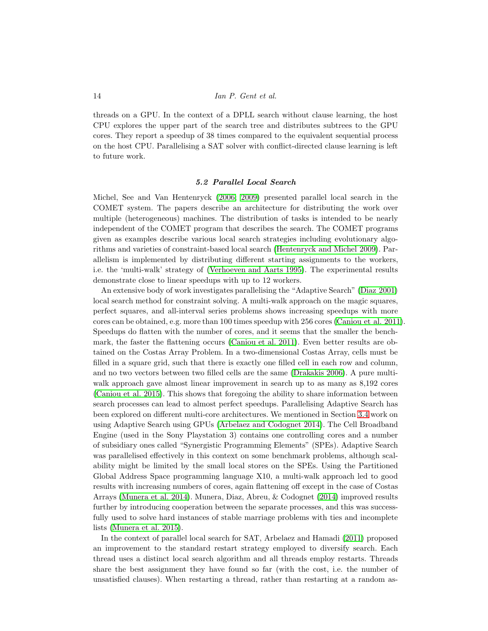threads on a GPU. In the context of a DPLL search without clause learning, the host CPU explores the upper part of the search tree and distributes subtrees to the GPU cores. They report a speedup of 38 times compared to the equivalent sequential process on the host CPU. Parallelising a SAT solver with conflict-directed clause learning is left to future work.

#### 5.2 Parallel Local Search

<span id="page-14-0"></span>Michel, See and Van Hentenryck [\(2006;](#page-29-6) [2009\)](#page-29-8) presented parallel local search in the COMET system. The papers describe an architecture for distributing the work over multiple (heterogeneous) machines. The distribution of tasks is intended to be nearly independent of the COMET program that describes the search. The COMET programs given as examples describe various local search strategies including evolutionary algorithms and varieties of constraint-based local search [\(Hentenryck and Michel 2009\)](#page-27-7). Parallelism is implemented by distributing different starting assignments to the workers, i.e. the 'multi-walk' strategy of [\(Verhoeven and Aarts 1995\)](#page-31-5). The experimental results demonstrate close to linear speedups with up to 12 workers.

An extensive body of work investigates parallelising the "Adaptive Search" [\(Diaz 2001\)](#page-25-5) local search method for constraint solving. A multi-walk approach on the magic squares, perfect squares, and all-interval series problems shows increasing speedups with more cores can be obtained, e.g. more than 100 times speedup with 256 cores [\(Caniou et al. 2011\)](#page-25-6). Speedups do flatten with the number of cores, and it seems that the smaller the benchmark, the faster the flattening occurs [\(Caniou et al. 2011\)](#page-25-6). Even better results are obtained on the Costas Array Problem. In a two-dimensional Costas Array, cells must be filled in a square grid, such that there is exactly one filled cell in each row and column, and no two vectors between two filled cells are the same [\(Drakakis 2006\)](#page-26-3). A pure multiwalk approach gave almost linear improvement in search up to as many as 8,192 cores [\(Caniou et al. 2015\)](#page-25-7). This shows that foregoing the ability to share information between search processes can lead to almost perfect speedups. Parallelising Adaptive Search has been explored on different multi-core architectures. We mentioned in Section [3.4](#page-7-0) work on using Adaptive Search using GPUs [\(Arbelaez and Codognet 2014\)](#page-24-0). The Cell Broadband Engine (used in the Sony Playstation 3) contains one controlling cores and a number of subsidiary ones called "Synergistic Programming Elements" (SPEs). Adaptive Search was parallelised effectively in this context on some benchmark problems, although scalability might be limited by the small local stores on the SPEs. Using the Partitioned Global Address Space programming language X10, a multi-walk approach led to good results with increasing numbers of cores, again flattening off except in the case of Costas Arrays [\(Munera et al. 2014\)](#page-29-5). Munera, Diaz, Abreu, & Codognet [\(2014\)](#page-29-9) improved results further by introducing cooperation between the separate processes, and this was successfully used to solve hard instances of stable marriage problems with ties and incomplete lists [\(Munera et al. 2015\)](#page-29-10).

In the context of parallel local search for SAT, Arbelaez and Hamadi [\(2011\)](#page-24-8) proposed an improvement to the standard restart strategy employed to diversify search. Each thread uses a distinct local search algorithm and all threads employ restarts. Threads share the best assignment they have found so far (with the cost, i.e. the number of unsatisfied clauses). When restarting a thread, rather than restarting at a random as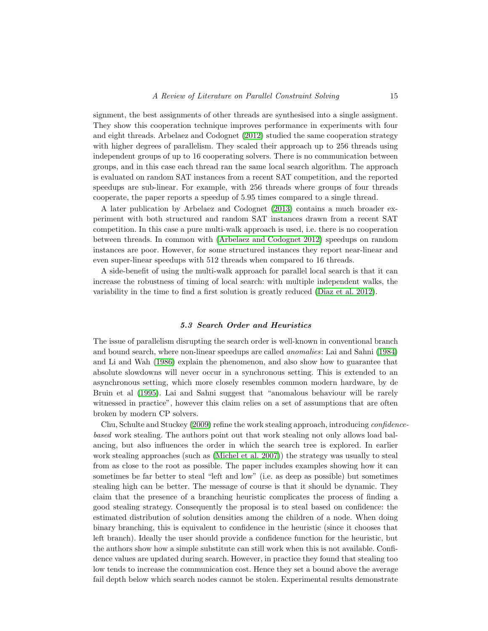signment, the best assignments of other threads are synthesised into a single assigment. They show this cooperation technique improves performance in experiments with four and eight threads. Arbelaez and Codognet [\(2012\)](#page-24-9) studied the same cooperation strategy with higher degrees of parallelism. They scaled their approach up to 256 threads using independent groups of up to 16 cooperating solvers. There is no communication between groups, and in this case each thread ran the same local search algorithm. The approach is evaluated on random SAT instances from a recent SAT competition, and the reported speedups are sub-linear. For example, with 256 threads where groups of four threads cooperate, the paper reports a speedup of 5.95 times compared to a single thread.

A later publication by Arbelaez and Codognet [\(2013\)](#page-24-10) contains a much broader experiment with both structured and random SAT instances drawn from a recent SAT competition. In this case a pure multi-walk approach is used, i.e. there is no cooperation between threads. In common with [\(Arbelaez and Codognet 2012\)](#page-24-9) speedups on random instances are poor. However, for some structured instances they report near-linear and even super-linear speedups with 512 threads when compared to 16 threads.

A side-benefit of using the multi-walk approach for parallel local search is that it can increase the robustness of timing of local search: with multiple independent walks, the variability in the time to find a first solution is greatly reduced [\(Diaz et al. 2012\)](#page-25-8).

# 5.3 Search Order and Heuristics

The issue of parallelism disrupting the search order is well-known in conventional branch and bound search, where non-linear speedups are called anomalies: Lai and Sahni (1984) and Li and Wah (1986) explain the phenomenon, and also show how to guarantee that absolute slowdowns will never occur in a synchronous setting. This is extended to an asynchronous setting, which more closely resembles common modern hardware, by de Bruin et al (1995). Lai and Sahni suggest that "anomalous behaviour will be rarely witnessed in practice", however this claim relies on a set of assumptions that are often broken by modern CP solvers.

Chu, Schulte and Stuckey [\(2009\)](#page-25-9) refine the work stealing approach, introducing confidencebased work stealing. The authors point out that work stealing not only allows load balancing, but also influences the order in which the search tree is explored. In earlier work stealing approaches (such as [\(Michel et al. 2007\)](#page-29-7)) the strategy was usually to steal from as close to the root as possible. The paper includes examples showing how it can sometimes be far better to steal "left and low" (i.e. as deep as possible) but sometimes stealing high can be better. The message of course is that it should be dynamic. They claim that the presence of a branching heuristic complicates the process of finding a good stealing strategy. Consequently the proposal is to steal based on confidence: the estimated distribution of solution densities among the children of a node. When doing binary branching, this is equivalent to confidence in the heuristic (since it chooses that left branch). Ideally the user should provide a confidence function for the heuristic, but the authors show how a simple substitute can still work when this is not available. Confidence values are updated during search. However, in practice they found that stealing too low tends to increase the communication cost. Hence they set a bound above the average fail depth below which search nodes cannot be stolen. Experimental results demonstrate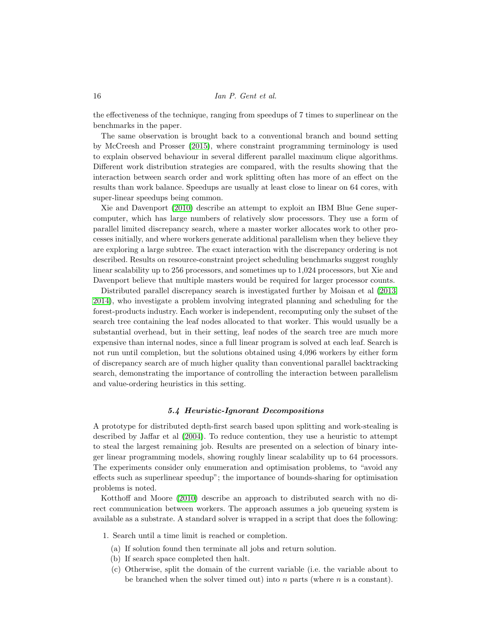the effectiveness of the technique, ranging from speedups of 7 times to superlinear on the benchmarks in the paper.

The same observation is brought back to a conventional branch and bound setting by McCreesh and Prosser (2015), where constraint programming terminology is used to explain observed behaviour in several different parallel maximum clique algorithms. Different work distribution strategies are compared, with the results showing that the interaction between search order and work splitting often has more of an effect on the results than work balance. Speedups are usually at least close to linear on 64 cores, with super-linear speedups being common.

Xie and Davenport (2010) describe an attempt to exploit an IBM Blue Gene supercomputer, which has large numbers of relatively slow processors. They use a form of parallel limited discrepancy search, where a master worker allocates work to other processes initially, and where workers generate additional parallelism when they believe they are exploring a large subtree. The exact interaction with the discrepancy ordering is not described. Results on resource-constraint project scheduling benchmarks suggest roughly linear scalability up to 256 processors, and sometimes up to 1,024 processors, but Xie and Davenport believe that multiple masters would be required for larger processor counts.

Distributed parallel discrepancy search is investigated further by Moisan et al [\(2013;](#page-29-11) [2014\)](#page-29-12), who investigate a problem involving integrated planning and scheduling for the forest-products industry. Each worker is independent, recomputing only the subset of the search tree containing the leaf nodes allocated to that worker. This would usually be a substantial overhead, but in their setting, leaf nodes of the search tree are much more expensive than internal nodes, since a full linear program is solved at each leaf. Search is not run until completion, but the solutions obtained using 4,096 workers by either form of discrepancy search are of much higher quality than conventional parallel backtracking search, demonstrating the importance of controlling the interaction between parallelism and value-ordering heuristics in this setting.

# 5.4 Heuristic-Ignorant Decompositions

A prototype for distributed depth-first search based upon splitting and work-stealing is described by Jaffar et al (2004). To reduce contention, they use a heuristic to attempt to steal the largest remaining job. Results are presented on a selection of binary integer linear programming models, showing roughly linear scalability up to 64 processors. The experiments consider only enumeration and optimisation problems, to "avoid any effects such as superlinear speedup"; the importance of bounds-sharing for optimisation problems is noted.

Kotthoff and Moore [\(2010\)](#page-28-8) describe an approach to distributed search with no direct communication between workers. The approach assumes a job queueing system is available as a substrate. A standard solver is wrapped in a script that does the following:

1. Search until a time limit is reached or completion.

- (a) If solution found then terminate all jobs and return solution.
- (b) If search space completed then halt.
- (c) Otherwise, split the domain of the current variable (i.e. the variable about to be branched when the solver timed out) into n parts (where  $n$  is a constant).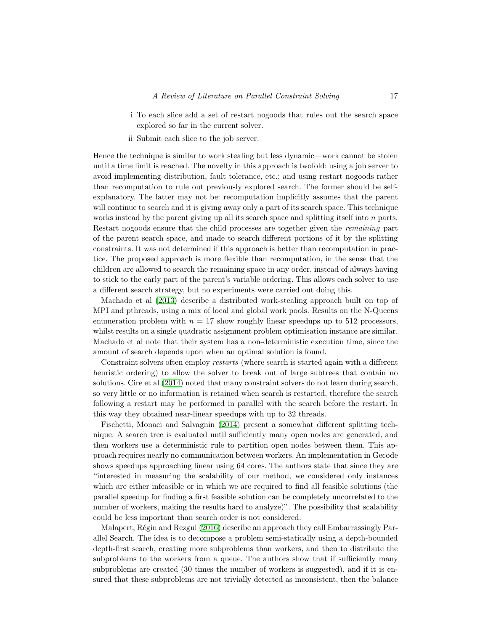- i To each slice add a set of restart nogoods that rules out the search space explored so far in the current solver.
- ii Submit each slice to the job server.

Hence the technique is similar to work stealing but less dynamic—work cannot be stolen until a time limit is reached. The novelty in this approach is twofold: using a job server to avoid implementing distribution, fault tolerance, etc.; and using restart nogoods rather than recomputation to rule out previously explored search. The former should be selfexplanatory. The latter may not be: recomputation implicitly assumes that the parent will continue to search and it is giving away only a part of its search space. This technique works instead by the parent giving up all its search space and splitting itself into n parts. Restart nogoods ensure that the child processes are together given the remaining part of the parent search space, and made to search different portions of it by the splitting constraints. It was not determined if this approach is better than recomputation in practice. The proposed approach is more flexible than recomputation, in the sense that the children are allowed to search the remaining space in any order, instead of always having to stick to the early part of the parent's variable ordering. This allows each solver to use a different search strategy, but no experiments were carried out doing this.

Machado et al (2013) describe a distributed work-stealing approach built on top of MPI and pthreads, using a mix of local and global work pools. Results on the N-Queens enumeration problem with  $n = 17$  show roughly linear speedups up to 512 processors, whilst results on a single quadratic assignment problem optimisation instance are similar. Machado et al note that their system has a non-deterministic execution time, since the amount of search depends upon when an optimal solution is found.

Constraint solvers often employ restarts (where search is started again with a different heuristic ordering) to allow the solver to break out of large subtrees that contain no solutions. Cire et al [\(2014\)](#page-25-10) noted that many constraint solvers do not learn during search, so very little or no information is retained when search is restarted, therefore the search following a restart may be performed in parallel with the search before the restart. In this way they obtained near-linear speedups with up to 32 threads.

Fischetti, Monaci and Salvagnin (2014) present a somewhat different splitting technique. A search tree is evaluated until sufficiently many open nodes are generated, and then workers use a deterministic rule to partition open nodes between them. This approach requires nearly no communication between workers. An implementation in Gecode shows speedups approaching linear using 64 cores. The authors state that since they are "interested in measuring the scalability of our method, we considered only instances which are either infeasible or in which we are required to find all feasible solutions (the parallel speedup for finding a first feasible solution can be completely uncorrelated to the number of workers, making the results hard to analyze)". The possibility that scalability could be less important than search order is not considered.

Malapert, Régin and Rezgui [\(2016\)](#page-29-13) describe an approach they call Embarrassingly Parallel Search. The idea is to decompose a problem semi-statically using a depth-bounded depth-first search, creating more subproblems than workers, and then to distribute the subproblems to the workers from a queue. The authors show that if sufficiently many subproblems are created (30 times the number of workers is suggested), and if it is ensured that these subproblems are not trivially detected as inconsistent, then the balance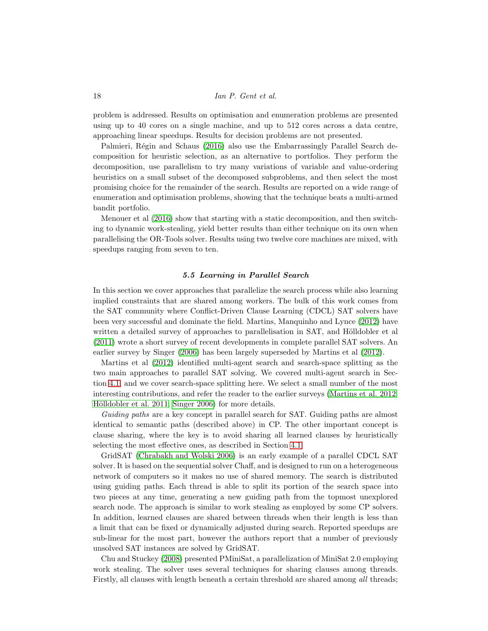problem is addressed. Results on optimisation and enumeration problems are presented using up to 40 cores on a single machine, and up to 512 cores across a data centre, approaching linear speedups. Results for decision problems are not presented.

Palmieri, Régin and Schaus (2016) also use the Embarrassingly Parallel Search decomposition for heuristic selection, as an alternative to portfolios. They perform the decomposition, use parallelism to try many variations of variable and value-ordering heuristics on a small subset of the decomposed subproblems, and then select the most promising choice for the remainder of the search. Results are reported on a wide range of enumeration and optimisation problems, showing that the technique beats a multi-armed bandit portfolio.

Menouer et al (2016) show that starting with a static decomposition, and then switching to dynamic work-stealing, yield better results than either technique on its own when parallelising the OR-Tools solver. Results using two twelve core machines are mixed, with speedups ranging from seven to ten.

## 5.5 Learning in Parallel Search

<span id="page-18-0"></span>In this section we cover approaches that parallelize the search process while also learning implied constraints that are shared among workers. The bulk of this work comes from the SAT community where Conflict-Driven Clause Learning (CDCL) SAT solvers have been very successful and dominate the field. Martins, Manquinho and Lynce [\(2012\)](#page-29-0) have written a detailed survey of approaches to parallelisation in SAT, and Hölldobler et al [\(2011\)](#page-27-0) wrote a short survey of recent developments in complete parallel SAT solvers. An earlier survey by Singer [\(2006\)](#page-31-0) has been largely superseded by Martins et al [\(2012\)](#page-29-0).

Martins et al [\(2012\)](#page-29-0) identified multi-agent search and search-space splitting as the two main approaches to parallel SAT solving. We covered multi-agent search in Section [4.1,](#page-9-0) and we cover search-space splitting here. We select a small number of the most interesting contributions, and refer the reader to the earlier surveys [\(Martins et al. 2012;](#page-29-0) Hölldobler et al. 2011; [Singer 2006\)](#page-31-0) for more details.

Guiding paths are a key concept in parallel search for SAT. Guiding paths are almost identical to semantic paths (described above) in CP. The other important concept is clause sharing, where the key is to avoid sharing all learned clauses by heuristically selecting the most effective ones, as described in Section [4.1.](#page-9-0)

GridSAT [\(Chrabakh and Wolski 2006\)](#page-25-11) is an early example of a parallel CDCL SAT solver. It is based on the sequential solver Chaff, and is designed to run on a heterogeneous network of computers so it makes no use of shared memory. The search is distributed using guiding paths. Each thread is able to split its portion of the search space into two pieces at any time, generating a new guiding path from the topmost unexplored search node. The approach is similar to work stealing as employed by some CP solvers. In addition, learned clauses are shared between threads when their length is less than a limit that can be fixed or dynamically adjusted during search. Reported speedups are sub-linear for the most part, however the authors report that a number of previously unsolved SAT instances are solved by GridSAT.

Chu and Stuckey [\(2008\)](#page-25-12) presented PMiniSat, a parallelization of MiniSat 2.0 employing work stealing. The solver uses several techniques for sharing clauses among threads. Firstly, all clauses with length beneath a certain threshold are shared among all threads;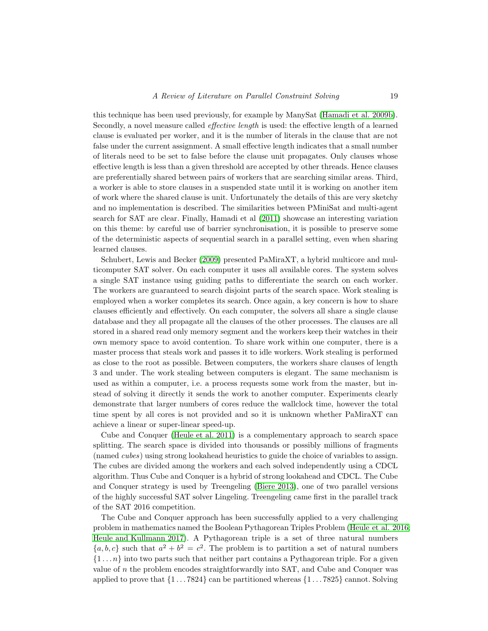this technique has been used previously, for example by ManySat [\(Hamadi et al. 2009b\)](#page-27-10). Secondly, a novel measure called effective length is used: the effective length of a learned clause is evaluated per worker, and it is the number of literals in the clause that are not false under the current assignment. A small effective length indicates that a small number of literals need to be set to false before the clause unit propagates. Only clauses whose effective length is less than a given threshold are accepted by other threads. Hence clauses are preferentially shared between pairs of workers that are searching similar areas. Third, a worker is able to store clauses in a suspended state until it is working on another item of work where the shared clause is unit. Unfortunately the details of this are very sketchy and no implementation is described. The similarities between PMiniSat and multi-agent search for SAT are clear. Finally, Hamadi et al (2011) showcase an interesting variation on this theme: by careful use of barrier synchronisation, it is possible to preserve some of the deterministic aspects of sequential search in a parallel setting, even when sharing learned clauses.

Schubert, Lewis and Becker [\(2009\)](#page-31-13) presented PaMiraXT, a hybrid multicore and multicomputer SAT solver. On each computer it uses all available cores. The system solves a single SAT instance using guiding paths to differentiate the search on each worker. The workers are guaranteed to search disjoint parts of the search space. Work stealing is employed when a worker completes its search. Once again, a key concern is how to share clauses efficiently and effectively. On each computer, the solvers all share a single clause database and they all propagate all the clauses of the other processes. The clauses are all stored in a shared read only memory segment and the workers keep their watches in their own memory space to avoid contention. To share work within one computer, there is a master process that steals work and passes it to idle workers. Work stealing is performed as close to the root as possible. Between computers, the workers share clauses of length 3 and under. The work stealing between computers is elegant. The same mechanism is used as within a computer, i.e. a process requests some work from the master, but instead of solving it directly it sends the work to another computer. Experiments clearly demonstrate that larger numbers of cores reduce the wallclock time, however the total time spent by all cores is not provided and so it is unknown whether PaMiraXT can achieve a linear or super-linear speed-up.

Cube and Conquer [\(Heule et al. 2011\)](#page-27-13) is a complementary approach to search space splitting. The search space is divided into thousands or possibly millions of fragments (named cubes) using strong lookahead heuristics to guide the choice of variables to assign. The cubes are divided among the workers and each solved independently using a CDCL algorithm. Thus Cube and Conquer is a hybrid of strong lookahead and CDCL. The Cube and Conquer strategy is used by Treengeling [\(Biere 2013\)](#page-24-3), one of two parallel versions of the highly successful SAT solver Lingeling. Treengeling came first in the parallel track of the SAT 2016 competition.

The Cube and Conquer approach has been successfully applied to a very challenging problem in mathematics named the Boolean Pythagorean Triples Problem [\(Heule et al. 2016;](#page-27-14) [Heule and Kullmann 2017\)](#page-27-15). A Pythagorean triple is a set of three natural numbers  ${a, b, c}$  such that  $a^2 + b^2 = c^2$ . The problem is to partition a set of natural numbers  $\{1 \dots n\}$  into two parts such that neither part contains a Pythagorean triple. For a given value of  $n$  the problem encodes straightforwardly into SAT, and Cube and Conquer was applied to prove that  $\{1 \dots 7824\}$  can be partitioned whereas  $\{1 \dots 7825\}$  cannot. Solving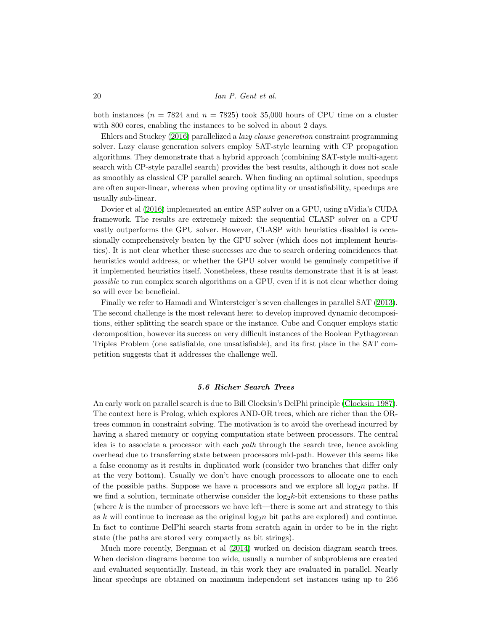both instances ( $n = 7824$  and  $n = 7825$ ) took 35,000 hours of CPU time on a cluster with 800 cores, enabling the instances to be solved in about 2 days.

Ehlers and Stuckey (2016) parallelized a lazy clause generation constraint programming solver. Lazy clause generation solvers employ SAT-style learning with CP propagation algorithms. They demonstrate that a hybrid approach (combining SAT-style multi-agent search with CP-style parallel search) provides the best results, although it does not scale as smoothly as classical CP parallel search. When finding an optimal solution, speedups are often super-linear, whereas when proving optimality or unsatisfiability, speedups are usually sub-linear.

Dovier et al (2016) implemented an entire ASP solver on a GPU, using nVidia's CUDA framework. The results are extremely mixed: the sequential CLASP solver on a CPU vastly outperforms the GPU solver. However, CLASP with heuristics disabled is occasionally comprehensively beaten by the GPU solver (which does not implement heuristics). It is not clear whether these successes are due to search ordering coincidences that heuristics would address, or whether the GPU solver would be genuinely competitive if it implemented heuristics itself. Nonetheless, these results demonstrate that it is at least possible to run complex search algorithms on a GPU, even if it is not clear whether doing so will ever be beneficial.

Finally we refer to Hamadi and Wintersteiger's seven challenges in parallel SAT [\(2013\)](#page-27-1). The second challenge is the most relevant here: to develop improved dynamic decompositions, either splitting the search space or the instance. Cube and Conquer employs static decomposition, however its success on very difficult instances of the Boolean Pythagorean Triples Problem (one satisfiable, one unsatisfiable), and its first place in the SAT competition suggests that it addresses the challenge well.

#### 5.6 Richer Search Trees

An early work on parallel search is due to Bill Clocksin's DelPhi principle [\(Clocksin 1987\)](#page-25-13). The context here is Prolog, which explores AND-OR trees, which are richer than the ORtrees common in constraint solving. The motivation is to avoid the overhead incurred by having a shared memory or copying computation state between processors. The central idea is to associate a processor with each path through the search tree, hence avoiding overhead due to transferring state between processors mid-path. However this seems like a false economy as it results in duplicated work (consider two branches that differ only at the very bottom). Usually we don't have enough processors to allocate one to each of the possible paths. Suppose we have n processors and we explore all  $\log_2 n$  paths. If we find a solution, terminate otherwise consider the  $log_2k$ -bit extensions to these paths (where  $k$  is the number of processors we have left—there is some art and strategy to this as k will continue to increase as the original  $\log_2 n$  bit paths are explored) and continue. In fact to continue DelPhi search starts from scratch again in order to be in the right state (the paths are stored very compactly as bit strings).

Much more recently, Bergman et al [\(2014\)](#page-24-11) worked on decision diagram search trees. When decision diagrams become too wide, usually a number of subproblems are created and evaluated sequentially. Instead, in this work they are evaluated in parallel. Nearly linear speedups are obtained on maximum independent set instances using up to 256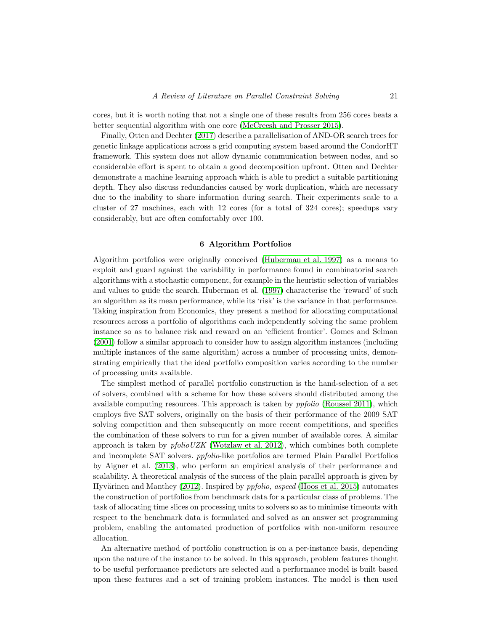cores, but it is worth noting that not a single one of these results from 256 cores beats a better sequential algorithm with one core (McCreesh and Prosser 2015).

Finally, Otten and Dechter (2017) describe a parallelisation of AND-OR search trees for genetic linkage applications across a grid computing system based around the CondorHT framework. This system does not allow dynamic communication between nodes, and so considerable effort is spent to obtain a good decomposition upfront. Otten and Dechter demonstrate a machine learning approach which is able to predict a suitable partitioning depth. They also discuss redundancies caused by work duplication, which are necessary due to the inability to share information during search. Their experiments scale to a cluster of 27 machines, each with 12 cores (for a total of 324 cores); speedups vary considerably, but are often comfortably over 100.

### 6 Algorithm Portfolios

<span id="page-21-0"></span>Algorithm portfolios were originally conceived [\(Huberman et al. 1997\)](#page-28-9) as a means to exploit and guard against the variability in performance found in combinatorial search algorithms with a stochastic component, for example in the heuristic selection of variables and values to guide the search. Huberman et al. [\(1997\)](#page-28-9) characterise the 'reward' of such an algorithm as its mean performance, while its 'risk' is the variance in that performance. Taking inspiration from Economics, they present a method for allocating computational resources across a portfolio of algorithms each independently solving the same problem instance so as to balance risk and reward on an 'efficient frontier'. Gomes and Selman [\(2001\)](#page-27-9) follow a similar approach to consider how to assign algorithm instances (including multiple instances of the same algorithm) across a number of processing units, demonstrating empirically that the ideal portfolio composition varies according to the number of processing units available.

The simplest method of parallel portfolio construction is the hand-selection of a set of solvers, combined with a scheme for how these solvers should distributed among the available computing resources. This approach is taken by ppfolio [\(Roussel 2011\)](#page-30-10), which employs five SAT solvers, originally on the basis of their performance of the 2009 SAT solving competition and then subsequently on more recent competitions, and specifies the combination of these solvers to run for a given number of available cores. A similar approach is taken by  $pfolioUZK$  [\(Wotzlaw et al. 2012\)](#page-31-14), which combines both complete and incomplete SAT solvers. ppfolio-like portfolios are termed Plain Parallel Portfolios by Aigner et al. [\(2013\)](#page-23-0), who perform an empirical analysis of their performance and scalability. A theoretical analysis of the success of the plain parallel approach is given by Hyvärinen and Manthey [\(2012\)](#page-28-10). Inspired by  $ppfolio$ , aspeed [\(Hoos et al. 2015\)](#page-27-16) automates the construction of portfolios from benchmark data for a particular class of problems. The task of allocating time slices on processing units to solvers so as to minimise timeouts with respect to the benchmark data is formulated and solved as an answer set programming problem, enabling the automated production of portfolios with non-uniform resource allocation.

An alternative method of portfolio construction is on a per-instance basis, depending upon the nature of the instance to be solved. In this approach, problem features thought to be useful performance predictors are selected and a performance model is built based upon these features and a set of training problem instances. The model is then used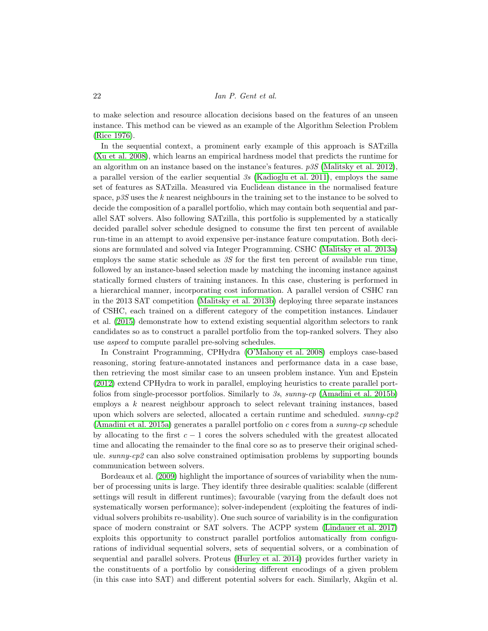to make selection and resource allocation decisions based on the features of an unseen instance. This method can be viewed as an example of the Algorithm Selection Problem [\(Rice 1976\)](#page-30-11).

In the sequential context, a prominent early example of this approach is SATzilla [\(Xu et al. 2008\)](#page-31-15), which learns an empirical hardness model that predicts the runtime for an algorithm on an instance based on the instance's features.  $p3S$  [\(Malitsky et al. 2012\)](#page-29-14), a parallel version of the earlier sequential  $3s$  [\(Kadioglu et al. 2011\)](#page-28-11), employs the same set of features as SATzilla. Measured via Euclidean distance in the normalised feature space,  $pSS$  uses the k nearest neighbours in the training set to the instance to be solved to decide the composition of a parallel portfolio, which may contain both sequential and parallel SAT solvers. Also following SATzilla, this portfolio is supplemented by a statically decided parallel solver schedule designed to consume the first ten percent of available run-time in an attempt to avoid expensive per-instance feature computation. Both decisions are formulated and solved via Integer Programming. CSHC [\(Malitsky et al. 2013a\)](#page-29-15) employs the same static schedule as 3S for the first ten percent of available run time, followed by an instance-based selection made by matching the incoming instance against statically formed clusters of training instances. In this case, clustering is performed in a hierarchical manner, incorporating cost information. A parallel version of CSHC ran in the 2013 SAT competition [\(Malitsky et al. 2013b\)](#page-29-16) deploying three separate instances of CSHC, each trained on a different category of the competition instances. Lindauer et al. [\(2015\)](#page-28-12) demonstrate how to extend existing sequential algorithm selectors to rank candidates so as to construct a parallel portfolio from the top-ranked solvers. They also use aspeed to compute parallel pre-solving schedules.

In Constraint Programming, CPHydra [\(O'Mahony et al. 2008\)](#page-30-12) employs case-based reasoning, storing feature-annotated instances and performance data in a case base, then retrieving the most similar case to an unseen problem instance. Yun and Epstein [\(2012\)](#page-31-16) extend CPHydra to work in parallel, employing heuristics to create parallel portfolios from single-processor portfolios. Similarly to 3s, sunny-cp [\(Amadini et al. 2015b\)](#page-24-12) employs a  $k$  nearest neighbour approach to select relevant training instances, based upon which solvers are selected, allocated a certain runtime and scheduled.  $sunny-cp2$ [\(Amadini et al. 2015a\)](#page-24-13) generates a parallel portfolio on c cores from a sunny-cp schedule by allocating to the first  $c - 1$  cores the solvers scheduled with the greatest allocated time and allocating the remainder to the final core so as to preserve their original schedule. sunny-cp2 can also solve constrained optimisation problems by supporting bounds communication between solvers.

Bordeaux et al. [\(2009\)](#page-25-14) highlight the importance of sources of variability when the number of processing units is large. They identify three desirable qualities: scalable (different settings will result in different runtimes); favourable (varying from the default does not systematically worsen performance); solver-independent (exploiting the features of individual solvers prohibits re-usability). One such source of variability is in the configuration space of modern constraint or SAT solvers. The ACPP system [\(Lindauer et al. 2017\)](#page-28-13) exploits this opportunity to construct parallel portfolios automatically from configurations of individual sequential solvers, sets of sequential solvers, or a combination of sequential and parallel solvers. Proteus [\(Hurley et al. 2014\)](#page-28-14) provides further variety in the constituents of a portfolio by considering different encodings of a given problem  $(in this case into SAT)$  and different potential solvers for each. Similarly, Akgün et al.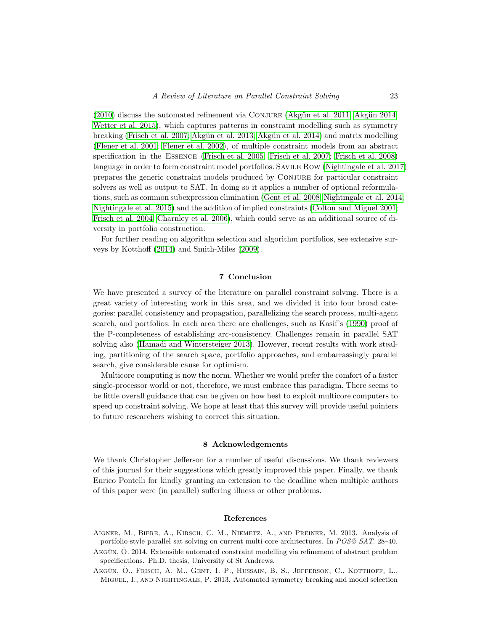$(2010)$  discuss the automated refinement via CONJURE (Akgün et al. 2011; Akgün 2014; [Wetter et al. 2015\)](#page-31-17), which captures patterns in constraint modelling such as symmetry breaking [\(Frisch et al. 2007;](#page-26-4) Akgün et al. 2013; Akgün et al. 2014) and matrix modelling [\(Flener et al. 2001;](#page-26-5) [Flener et al. 2002\)](#page-26-6), of multiple constraint models from an abstract specification in the Essence [\(Frisch et al. 2005;](#page-26-7) [Frisch et al. 2007;](#page-26-8) [Frisch et al. 2008\)](#page-26-9) language in order to form constraint model portfolios. Savile Row [\(Nightingale et al. 2017\)](#page-30-13) prepares the generic constraint models produced by Conjure for particular constraint solvers as well as output to SAT. In doing so it applies a number of optional reformulations, such as common subexpression elimination [\(Gent et al. 2008;](#page-27-17) [Nightingale et al. 2014;](#page-30-14) [Nightingale et al. 2015\)](#page-30-15) and the addition of implied constraints [\(Colton and Miguel 2001;](#page-25-15) [Frisch et al. 2004;](#page-26-10) [Charnley et al. 2006\)](#page-25-16), which could serve as an additional source of diversity in portfolio construction.

For further reading on algorithm selection and algorithm portfolios, see extensive surveys by Kotthoff [\(2014\)](#page-28-0) and Smith-Miles [\(2009\)](#page-31-18).

# 7 Conclusion

We have presented a survey of the literature on parallel constraint solving. There is a great variety of interesting work in this area, and we divided it into four broad categories: parallel consistency and propagation, parallelizing the search process, multi-agent search, and portfolios. In each area there are challenges, such as Kasif's [\(1990\)](#page-28-1) proof of the P-completeness of establishing arc-consistency. Challenges remain in parallel SAT solving also [\(Hamadi and Wintersteiger 2013\)](#page-27-1). However, recent results with work stealing, partitioning of the search space, portfolio approaches, and embarrassingly parallel search, give considerable cause for optimism.

Multicore computing is now the norm. Whether we would prefer the comfort of a faster single-processor world or not, therefore, we must embrace this paradigm. There seems to be little overall guidance that can be given on how best to exploit multicore computers to speed up constraint solving. We hope at least that this survey will provide useful pointers to future researchers wishing to correct this situation.

## 8 Acknowledgements

We thank Christopher Jefferson for a number of useful discussions. We thank reviewers of this journal for their suggestions which greatly improved this paper. Finally, we thank Enrico Pontelli for kindly granting an extension to the deadline when multiple authors of this paper were (in parallel) suffering illness or other problems.

#### References

- <span id="page-23-0"></span>Aigner, M., Biere, A., Kirsch, C. M., Niemetz, A., and Preiner, M. 2013. Analysis of portfolio-style parallel sat solving on current multi-core architectures. In POS@ SAT. 28–40.
- <span id="page-23-1"></span>AKGÜN, Ö. 2014. Extensible automated constraint modelling via refinement of abstract problem specifications. Ph.D. thesis, University of St Andrews.
- <span id="page-23-2"></span>AKGÜN, Ö., FRISCH, A. M., GENT, I. P., HUSSAIN, B. S., JEFFERSON, C., KOTTHOFF, L., Miguel, I., and Nightingale, P. 2013. Automated symmetry breaking and model selection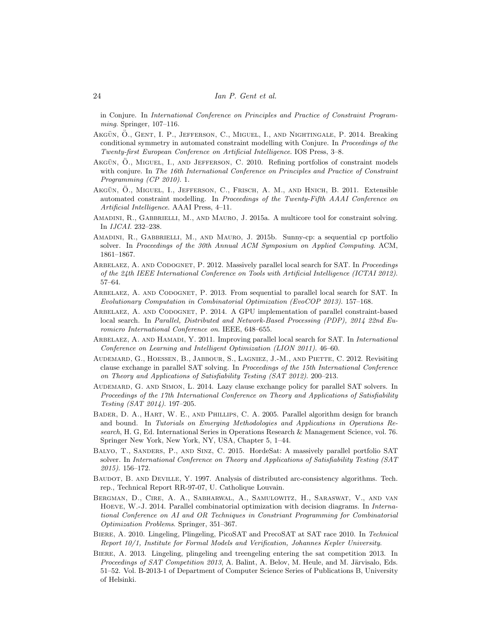in Conjure. In International Conference on Principles and Practice of Constraint Program $ming.$  Springer, 107–116.

- <span id="page-24-16"></span>AKGÜN, O., GENT, I. P., JEFFERSON, C., MIGUEL, I., AND NIGHTINGALE, P. 2014. Breaking conditional symmetry in automated constraint modelling with Conjure. In Proceedings of the Twenty-first European Conference on Artificial Intelligence. IOS Press, 3–8.
- <span id="page-24-14"></span>AKGÜN, Ö., MIGUEL, I., AND JEFFERSON, C. 2010. Refining portfolios of constraint models with conjure. In The 16th International Conference on Principles and Practice of Constraint Programming  $(CP 2010)$ . 1.
- <span id="page-24-15"></span>AKGÜN, O., MIGUEL, I., JEFFERSON, C., FRISCH, A. M., AND HNICH, B. 2011. Extensible automated constraint modelling. In Proceedings of the Twenty-Fifth AAAI Conference on Artificial Intelligence. AAAI Press, 4–11.
- <span id="page-24-13"></span>Amadini, R., Gabbrielli, M., and Mauro, J. 2015a. A multicore tool for constraint solving. In IJCAI. 232–238.
- <span id="page-24-12"></span>Amadini, R., Gabbrielli, M., and Mauro, J. 2015b. Sunny-cp: a sequential cp portfolio solver. In Proceedings of the 30th Annual ACM Symposium on Applied Computing. ACM, 1861–1867.
- <span id="page-24-9"></span>ARBELAEZ, A. AND CODOGNET, P. 2012. Massively parallel local search for SAT. In *Proceedings* of the 24th IEEE International Conference on Tools with Artificial Intelligence (ICTAI 2012). 57–64.
- <span id="page-24-10"></span>ARBELAEZ, A. AND CODOGNET, P. 2013. From sequential to parallel local search for SAT. In Evolutionary Computation in Combinatorial Optimization (EvoCOP 2013). 157–168.
- <span id="page-24-0"></span>Arbelaez, A. and Codognet, P. 2014. A GPU implementation of parallel constraint-based local search. In Parallel, Distributed and Network-Based Processing (PDP), 2014 22nd Euromicro International Conference on. IEEE, 648–655.
- <span id="page-24-8"></span>ARBELAEZ, A. AND HAMADI, Y. 2011. Improving parallel local search for SAT. In *International* Conference on Learning and Intelligent Optimization (LION 2011). 46–60.
- <span id="page-24-5"></span>Audemard, G., Hoessen, B., Jabbour, S., Lagniez, J.-M., and Piette, C. 2012. Revisiting clause exchange in parallel SAT solving. In Proceedings of the 15th International Conference on Theory and Applications of Satisfiability Testing (SAT 2012). 200–213.
- <span id="page-24-6"></span>Audemard, G. and Simon, L. 2014. Lazy clause exchange policy for parallel SAT solvers. In Proceedings of the 17th International Conference on Theory and Applications of Satisfiability Testing (SAT 2014). 197–205.
- <span id="page-24-7"></span>Bader, D. A., Hart, W. E., and Phillips, C. A. 2005. Parallel algorithm design for branch and bound. In Tutorials on Emerging Methodologies and Applications in Operations Research, H. G, Ed. International Series in Operations Research & Management Science, vol. 76. Springer New York, New York, NY, USA, Chapter 5, 1–44.
- <span id="page-24-4"></span>Balyo, T., Sanders, P., and Sinz, C. 2015. HordeSat: A massively parallel portfolio SAT solver. In International Conference on Theory and Applications of Satisfiability Testing (SAT 2015). 156–172.
- <span id="page-24-1"></span>BAUDOT, B. AND DEVILLE, Y. 1997. Analysis of distributed arc-consistency algorithms. Tech. rep., Technical Report RR-97-07, U. Catholique Louvain.
- <span id="page-24-11"></span>Bergman, D., Cire, A. A., Sabharwal, A., Samulowitz, H., Saraswat, V., and van HOEVE, W.-J. 2014. Parallel combinatorial optimization with decision diagrams. In *Interna*tional Conference on AI and OR Techniques in Constriant Programming for Combinatorial Optimization Problems. Springer, 351–367.
- <span id="page-24-2"></span>Biere, A. 2010. Lingeling, Plingeling, PicoSAT and PrecoSAT at SAT race 2010. In Technical Report 10/1, Institute for Formal Models and Verification, Johannes Kepler University.
- <span id="page-24-3"></span>Biere, A. 2013. Lingeling, plingeling and treengeling entering the sat competition 2013. In Proceedings of SAT Competition 2013, A. Balint, A. Belov, M. Heule, and M. Järvisalo, Eds. 51–52. Vol. B-2013-1 of Department of Computer Science Series of Publications B, University of Helsinki.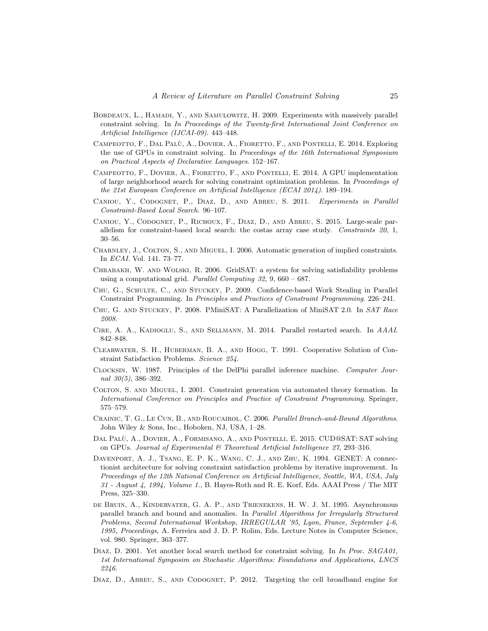- <span id="page-25-14"></span>BORDEAUX, L., HAMADI, Y., AND SAMULOWITZ, H. 2009. Experiments with massively parallel constraint solving. In In Proceedings of the Twenty-first International Joint Conference on Artificial Intelligence (IJCAI-09). 443–448.
- <span id="page-25-1"></span>CAMPEOTTO, F., DAL PALÙ, A., DOVIER, A., FIORETTO, F., AND PONTELLI, E. 2014. Exploring the use of GPUs in constraint solving. In Proceedings of the 16th International Symposium on Practical Aspects of Declarative Languages. 152–167.
- <span id="page-25-2"></span>Campeotto, F., Dovier, A., Fioretto, F., and Pontelli, E. 2014. A GPU implementation of large neighborhood search for solving constraint optimization problems. In Proceedings of the 21st European Conference on Artificial Intelligence (ECAI 2014). 189–194.
- <span id="page-25-6"></span>Caniou, Y., Codognet, P., Diaz, D., and Abreu, S. 2011. Experiments in Parallel Constraint-Based Local Search. 96–107.
- <span id="page-25-7"></span>Caniou, Y., Codognet, P., Richoux, F., Diaz, D., and Abreu, S. 2015. Large-scale parallelism for constraint-based local search: the costas array case study. Constraints 20, 1, 30–56.
- <span id="page-25-16"></span>Charnley, J., Colton, S., and Miguel, I. 2006. Automatic generation of implied constraints. In ECAI. Vol. 141. 73–77.
- <span id="page-25-11"></span>Chrabakh, W. and Wolski, R. 2006. GridSAT: a system for solving satisfiability problems using a computational grid. Parallel Computing 32, 9, 660 – 687.
- <span id="page-25-9"></span>Chu, G., Schulte, C., and Stuckey, P. 2009. Confidence-based Work Stealing in Parallel Constraint Programming. In Principles and Practices of Constraint Programming. 226–241.
- <span id="page-25-12"></span>Chu, G. and Stuckey, P. 2008. PMiniSAT: A Parallelization of MiniSAT 2.0. In SAT Race 2008.
- <span id="page-25-10"></span>Cire, A. A., Kadioglu, S., and Sellmann, M. 2014. Parallel restarted search. In AAAI. 842–848.
- <span id="page-25-3"></span>Clearwater, S. H., Huberman, B. A., and Hogg, T. 1991. Cooperative Solution of Constraint Satisfaction Problems. Science 254.
- <span id="page-25-13"></span>Clocksin, W. 1987. Principles of the DelPhi parallel inference machine. Computer Journal 30(5), 386–392.
- <span id="page-25-15"></span>Colton, S. and Miguel, I. 2001. Constraint generation via automated theory formation. In International Conference on Principles and Practice of Constraint Programming. Springer, 575–579.
- <span id="page-25-4"></span>Crainic, T. G., Le Cun, B., and Roucairol, C. 2006. Parallel Branch-and-Bound Algorithms. John Wiley & Sons, Inc., Hoboken, NJ, USA, 1–28.
- <span id="page-25-0"></span>DAL PALÙ, A., DOVIER, A., FORMISANO, A., AND PONTELLI, E. 2015. CUD@SAT: SAT solving on GPUs. Journal of Experimental & Theoretical Artificial Intelligence 27, 293–316.
- Davenport, A. J., Tsang, E. P. K., Wang, C. J., and Zhu, K. 1994. GENET: A connectionist architecture for solving constraint satisfaction problems by iterative improvement. In Proceedings of the 12th National Conference on Artificial Intelligence, Seattle, WA, USA, July 31 - August 4, 1994, Volume 1., B. Hayes-Roth and R. E. Korf, Eds. AAAI Press / The MIT Press, 325–330.
- de Bruin, A., Kindervater, G. A. P., and Trienekens, H. W. J. M. 1995. Asynchronous parallel branch and bound and anomalies. In Parallel Algorithms for Irregularly Structured Problems, Second International Workshop, IRREGULAR '95, Lyon, France, September 4-6, 1995, Proceedings, A. Ferreira and J. D. P. Rolim, Eds. Lecture Notes in Computer Science, vol. 980. Springer, 363–377.
- <span id="page-25-5"></span>DIAZ, D. 2001. Yet another local search method for constraint solving. In In Proc. SAGA01, 1st International Symposim on Stochastic Algorithms: Foundations and Applications, LNCS 2246.
- <span id="page-25-8"></span>DIAZ, D., ABREU, S., AND CODOGNET, P. 2012. Targeting the cell broadband engine for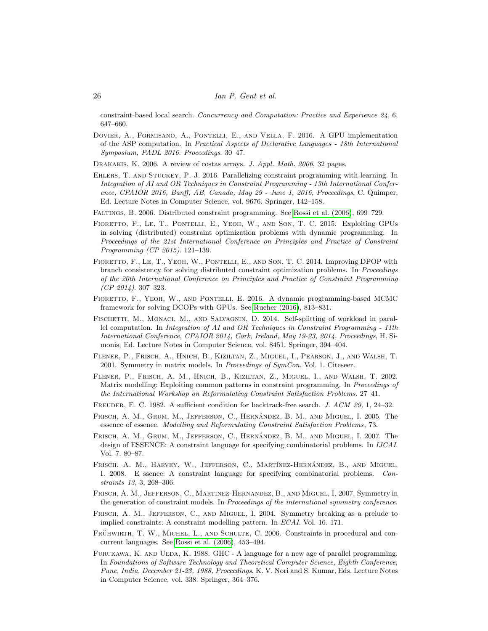constraint-based local search. Concurrency and Computation: Practice and Experience 24, 6, 647–660.

- Dovier, A., Formisano, A., Pontelli, E., and Vella, F. 2016. A GPU implementation of the ASP computation. In Practical Aspects of Declarative Languages - 18th International Symposium, PADL 2016. Proceedings. 30–47.
- <span id="page-26-3"></span>DRAKAKIS, K. 2006. A review of costas arrays. J. Appl. Math. 2006, 32 pages.
- Ehlers, T. and Stuckey, P. J. 2016. Parallelizing constraint programming with learning. In Integration of AI and OR Techniques in Constraint Programming - 13th International Conference, CPAIOR 2016, Banff, AB, Canada, May 29 - June 1, 2016, Proceedings, C. Quimper, Ed. Lecture Notes in Computer Science, vol. 9676. Springer, 142–158.
- Faltings, B. 2006. Distributed constraint programming. See Rossi et al. (2006), 699–729.
- <span id="page-26-1"></span>FIORETTO, F., LE, T., PONTELLI, E., YEOH, W., AND SON, T. C. 2015. Exploiting GPUs in solving (distributed) constraint optimization problems with dynamic programming. In Proceedings of the 21st International Conference on Principles and Practice of Constraint Programming (CP 2015). 121–139.
- <span id="page-26-0"></span>FIORETTO, F., LE, T., YEOH, W., PONTELLI, E., AND SON, T. C. 2014. Improving DPOP with branch consistency for solving distributed constraint optimization problems. In Proceedings of the 20th International Conference on Principles and Practice of Constraint Programming  $(CP 2014)$ . 307-323.
- <span id="page-26-2"></span>FIORETTO, F., YEOH, W., AND PONTELLI, E. 2016. A dynamic programming-based MCMC framework for solving DCOPs with GPUs. See Rueher (2016), 813–831.
- FISCHETTI, M., MONACI, M., AND SALVAGNIN, D. 2014. Self-splitting of workload in parallel computation. In Integration of AI and OR Techniques in Constraint Programming - 11th International Conference, CPAIOR 2014, Cork, Ireland, May 19-23, 2014. Proceedings, H. Simonis, Ed. Lecture Notes in Computer Science, vol. 8451. Springer, 394–404.
- <span id="page-26-5"></span>Flener, P., Frisch, A., Hnich, B., Kiziltan, Z., Miguel, I., Pearson, J., and Walsh, T. 2001. Symmetry in matrix models. In *Proceedings of SymCon*. Vol. 1. Citeseer.
- <span id="page-26-6"></span>Flener, P., Frisch, A. M., Hnich, B., Kiziltan, Z., Miguel, I., and Walsh, T. 2002. Matrix modelling: Exploiting common patterns in constraint programming. In Proceedings of the International Workshop on Reformulating Constraint Satisfaction Problems. 27–41.
- FREUDER, E. C. 1982. A sufficient condition for backtrack-free search. J. ACM 29, 1, 24–32.
- <span id="page-26-7"></span>FRISCH, A. M., GRUM, M., JEFFERSON, C., HERNÁNDEZ, B. M., AND MIGUEL, I. 2005. The essence of essence. Modelling and Reformulating Constraint Satisfaction Problems, 73.
- <span id="page-26-8"></span>FRISCH, A. M., GRUM, M., JEFFERSON, C., HERNÁNDEZ, B. M., AND MIGUEL, I. 2007. The design of ESSENCE: A constraint language for specifying combinatorial problems. In IJCAI. Vol. 7. 80–87.
- <span id="page-26-9"></span>FRISCH, A. M., HARVEY, W., JEFFERSON, C., MARTÍNEZ-HERNÁNDEZ, B., AND MIGUEL, I. 2008. E ssence: A constraint language for specifying combinatorial problems. Constraints 13, 3, 268–306.
- <span id="page-26-4"></span>Frisch, A. M., Jefferson, C., Martinez-Hernandez, B., and Miguel, I. 2007. Symmetry in the generation of constraint models. In Proceedings of the international symmetry conference.
- <span id="page-26-10"></span>Frisch, A. M., Jefferson, C., and Miguel, I. 2004. Symmetry breaking as a prelude to implied constraints: A constraint modelling pattern. In ECAI. Vol. 16. 171.
- FRÜHWIRTH, T. W., MICHEL, L., AND SCHULTE, C. 2006. Constraints in procedural and concurrent languages. See Rossi et al. (2006), 453–494.
- FURUKAWA, K. AND UEDA, K. 1988. GHC A language for a new age of parallel programming. In Foundations of Software Technology and Theoretical Computer Science, Eighth Conference, Pune, India, December 21-23, 1988, Proceedings, K. V. Nori and S. Kumar, Eds. Lecture Notes in Computer Science, vol. 338. Springer, 364–376.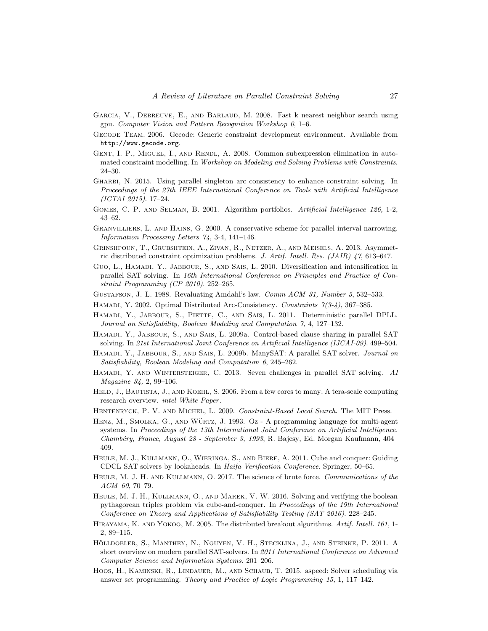- GARCIA, V., DEBREUVE, E., AND BARLAUD, M. 2008. Fast k nearest neighbor search using gpu. Computer Vision and Pattern Recognition Workshop 0, 1–6.
- <span id="page-27-4"></span>Gecode Team. 2006. Gecode: Generic constraint development environment. Available from http://www.gecode.org.
- <span id="page-27-17"></span>GENT, I. P., MIGUEL, I., AND RENDL, A. 2008. Common subexpression elimination in automated constraint modelling. In Workshop on Modeling and Solving Problems with Constraints. 24–30.
- <span id="page-27-8"></span>GHARBI, N. 2015. Using parallel singleton arc consistency to enhance constraint solving. In Proceedings of the 27th IEEE International Conference on Tools with Artificial Intelligence (ICTAI 2015). 17–24.
- <span id="page-27-9"></span>GOMES, C. P. AND SELMAN, B. 2001. Algorithm portfolios. Artificial Intelligence 126, 1-2, 43–62.
- <span id="page-27-6"></span>Granvilliers, L. and Hains, G. 2000. A conservative scheme for parallel interval narrowing. Information Processing Letters 74, 3-4, 141–146.
- Grinshpoun, T., Grubshtein, A., Zivan, R., Netzer, A., and Meisels, A. 2013. Asymmetric distributed constraint optimization problems. J. Artif. Intell. Res. (JAIR) 47, 613–647.
- <span id="page-27-12"></span>GUO, L., HAMADI, Y., JABBOUR, S., AND SAIS, L. 2010. Diversification and intensification in parallel SAT solving. In 16th International Conference on Principles and Practice of Constraint Programming (CP 2010). 252–265.
- <span id="page-27-3"></span>Gustafson, J. L. 1988. Revaluating Amdahl's law. Comm ACM 31, Number 5, 532–533.
- <span id="page-27-5"></span>Hamadi, Y. 2002. Optimal Distributed Arc-Consistency. Constraints 7(3-4), 367–385.
- HAMADI, Y., JABBOUR, S., PIETTE, C., AND SAIS, L. 2011. Deterministic parallel DPLL. Journal on Satisfiability, Boolean Modeling and Computation 7, 4, 127–132.
- <span id="page-27-11"></span>Hamadi, Y., Jabbour, S., and Sais, L. 2009a. Control-based clause sharing in parallel SAT solving. In 21st International Joint Conference on Artificial Intelligence (IJCAI-09). 499–504.
- <span id="page-27-10"></span>HAMADI, Y., JABBOUR, S., AND SAIS, L. 2009b. ManySAT: A parallel SAT solver. Journal on Satisfiability, Boolean Modeling and Computation 6, 245–262.
- <span id="page-27-1"></span>Hamadi, Y. and Wintersteiger, C. 2013. Seven challenges in parallel SAT solving. AI Magazine 34, 2, 99–106.
- <span id="page-27-2"></span>HELD, J., BAUTISTA, J., AND KOEHL, S. 2006. From a few cores to many: A tera-scale computing research overview. intel White Paper.
- <span id="page-27-7"></span>Hentenryck, P. V. and Michel, L. 2009. Constraint-Based Local Search. The MIT Press.
- HENZ, M., SMOLKA, G., AND WÜRTZ, J. 1993. Oz A programming language for multi-agent systems. In Proceedings of the 13th International Joint Conference on Artificial Intelligence. Chamb´ery, France, August 28 - September 3, 1993, R. Bajcsy, Ed. Morgan Kaufmann, 404– 409.
- <span id="page-27-13"></span>Heule, M. J., Kullmann, O., Wieringa, S., and Biere, A. 2011. Cube and conquer: Guiding CDCL SAT solvers by lookaheads. In Haifa Verification Conference. Springer, 50–65.
- <span id="page-27-15"></span>HEULE, M. J. H. AND KULLMANN, O. 2017. The science of brute force. Communications of the ACM 60, 70–79.
- <span id="page-27-14"></span>HEULE, M. J. H., KULLMANN, O., AND MAREK, V. W. 2016. Solving and verifying the boolean pythagorean triples problem via cube-and-conquer. In Proceedings of the 19th International Conference on Theory and Applications of Satisfiability Testing (SAT 2016). 228–245.
- HIRAYAMA, K. AND YOKOO, M. 2005. The distributed breakout algorithms. Artif. Intell. 161, 1-2, 89–115.
- <span id="page-27-0"></span>HÖLLDOBLER, S., MANTHEY, N., NGUYEN, V. H., STECKLINA, J., AND STEINKE, P. 2011. A short overview on modern parallel SAT-solvers. In 2011 International Conference on Advanced Computer Science and Information Systems. 201–206.
- <span id="page-27-16"></span>Hoos, H., Kaminski, R., Lindauer, M., and Schaub, T. 2015. aspeed: Solver scheduling via answer set programming. Theory and Practice of Logic Programming 15, 1, 117–142.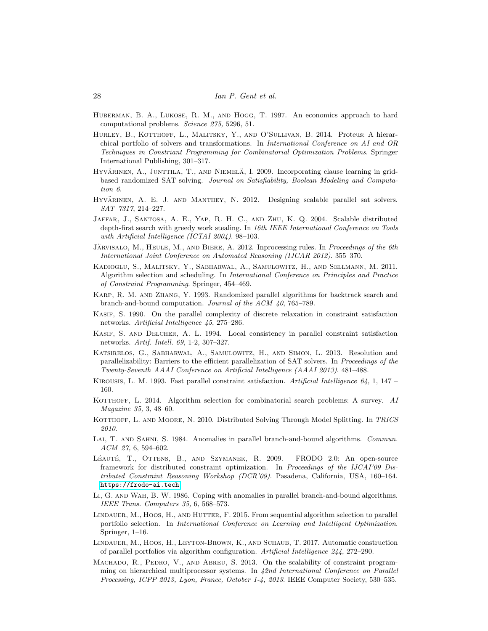- <span id="page-28-9"></span>Huberman, B. A., Lukose, R. M., and Hogg, T. 1997. An economics approach to hard computational problems. Science 275, 5296, 51.
- <span id="page-28-14"></span>HURLEY, B., KOTTHOFF, L., MALITSKY, Y., AND O'SULLIVAN, B. 2014. Proteus: A hierarchical portfolio of solvers and transformations. In International Conference on AI and OR Techniques in Constriant Programming for Combinatorial Optimization Problems. Springer International Publishing, 301–317.
- <span id="page-28-4"></span>HYVÄRINEN, A., JUNTTILA, T., AND NIEMELÄ, I. 2009. Incorporating clause learning in gridbased randomized SAT solving. Journal on Satisfiability, Boolean Modeling and Computation 6.
- <span id="page-28-10"></span>HYVÄRINEN, A. E. J. AND MANTHEY, N. 2012. Designing scalable parallel sat solvers. SAT 7317, 214–227.
- Jaffar, J., Santosa, A. E., Yap, R. H. C., and Zhu, K. Q. 2004. Scalable distributed depth-first search with greedy work stealing. In 16th IEEE International Conference on Tools with Artificial Intelligence (ICTAI 2004). 98–103.
- <span id="page-28-3"></span>JÄRVISALO, M., HEULE, M., AND BIERE, A. 2012. Inprocessing rules. In Proceedings of the 6th International Joint Conference on Automated Reasoning (IJCAR 2012). 355–370.
- <span id="page-28-11"></span>Kadioglu, S., Malitsky, Y., Sabharwal, A., Samulowitz, H., and Sellmann, M. 2011. Algorithm selection and scheduling. In International Conference on Principles and Practice of Constraint Programming. Springer, 454–469.
- <span id="page-28-7"></span>Karp, R. M. and Zhang, Y. 1993. Randomized parallel algorithms for backtrack search and branch-and-bound computation. Journal of the ACM 40, 765–789.
- <span id="page-28-1"></span>Kasif, S. 1990. On the parallel complexity of discrete relaxation in constraint satisfaction networks. Artificial Intelligence 45, 275–286.
- Kasif, S. and Delcher, A. L. 1994. Local consistency in parallel constraint satisfaction networks. Artif. Intell. 69, 1-2, 307–327.
- <span id="page-28-5"></span>Katsirelos, G., Sabharwal, A., Samulowitz, H., and Simon, L. 2013. Resolution and parallelizability: Barriers to the efficient parallelization of SAT solvers. In Proceedings of the Twenty-Seventh AAAI Conference on Artificial Intelligence (AAAI 2013). 481–488.
- <span id="page-28-2"></span>KIROUSIS, L. M. 1993. Fast parallel constraint satisfaction. Artificial Intelligence 64, 1, 147 – 160.
- <span id="page-28-0"></span>KOTTHOFF, L. 2014. Algorithm selection for combinatorial search problems: A survey. AI Magazine 35, 3, 48–60.
- <span id="page-28-8"></span>KOTTHOFF, L. AND MOORE, N. 2010. Distributed Solving Through Model Splitting. In TRICS 2010.
- LAI, T. AND SAHNI, S. 1984. Anomalies in parallel branch-and-bound algorithms. Commun. ACM 27, 6, 594–602.
- <span id="page-28-6"></span>L'éauté, T., Ottens, B., and Szymanek, R. 2009. FRODO 2.0: An open-source framework for distributed constraint optimization. In Proceedings of the IJCAI'09 Distributed Constraint Reasoning Workshop (DCR'09). Pasadena, California, USA, 160–164. <https://frodo-ai.tech>.
- Li, G. and Wah, B. W. 1986. Coping with anomalies in parallel branch-and-bound algorithms. IEEE Trans. Computers 35, 6, 568–573.
- <span id="page-28-12"></span>LINDAUER, M., HOOS, H., AND HUTTER, F. 2015. From sequential algorithm selection to parallel portfolio selection. In International Conference on Learning and Intelligent Optimization. Springer, 1–16.
- <span id="page-28-13"></span>Lindauer, M., Hoos, H., Leyton-Brown, K., and Schaub, T. 2017. Automatic construction of parallel portfolios via algorithm configuration. Artificial Intelligence 244, 272–290.
- MACHADO, R., PEDRO, V., AND ABREU, S. 2013. On the scalability of constraint programming on hierarchical multiprocessor systems. In 42nd International Conference on Parallel Processing, ICPP 2013, Lyon, France, October 1-4, 2013. IEEE Computer Society, 530–535.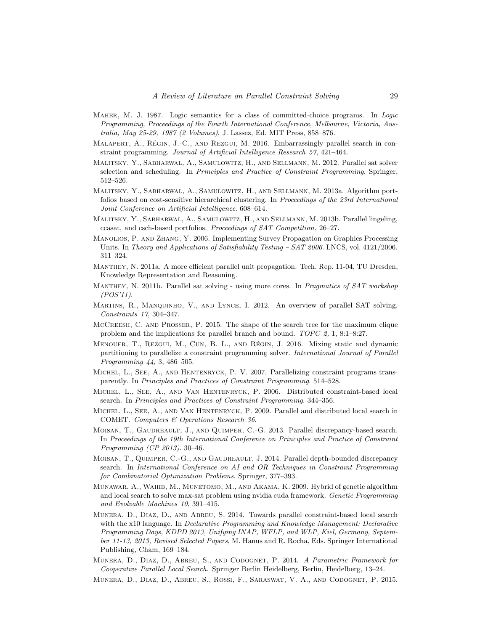- MAHER, M. J. 1987. Logic semantics for a class of committed-choice programs. In Logic Programming, Proceedings of the Fourth International Conference, Melbourne, Victoria, Australia, May 25-29, 1987 (2 Volumes), J. Lassez, Ed. MIT Press, 858–876.
- <span id="page-29-13"></span>MALAPERT, A., RÉGIN, J.-C., AND REZGUI, M. 2016. Embarrassingly parallel search in constraint programming. Journal of Artificial Intelligence Research 57, 421–464.
- <span id="page-29-14"></span>Malitsky, Y., Sabharwal, A., Samulowitz, H., and Sellmann, M. 2012. Parallel sat solver selection and scheduling. In Principles and Practice of Constraint Programming. Springer, 512–526.
- <span id="page-29-15"></span>Malitsky, Y., Sabharwal, A., Samulowitz, H., and Sellmann, M. 2013a. Algorithm portfolios based on cost-sensitive hierarchical clustering. In Proceedings of the 23rd International Joint Conference on Artificial Intelligence. 608–614.
- <span id="page-29-16"></span>Malitsky, Y., Sabharwal, A., Samulowitz, H., and Sellmann, M. 2013b. Parallel lingeling, ccasat, and csch-based portfolios. Proceedings of SAT Competition, 26–27.
- <span id="page-29-2"></span>Manolios, P. and Zhang, Y. 2006. Implementing Survey Propagation on Graphics Processing Units. In Theory and Applications of Satisfiability Testing – SAT 2006. LNCS, vol. 4121/2006. 311–324.
- <span id="page-29-4"></span>Manthey, N. 2011a. A more efficient parallel unit propagation. Tech. Rep. 11-04, TU Dresden, Knowledge Representation and Reasoning.
- <span id="page-29-3"></span>MANTHEY, N. 2011b. Parallel sat solving - using more cores. In *Pragmatics of SAT workshop* (POS'11).
- <span id="page-29-0"></span>Martins, R., Manquinho, V., and Lynce, I. 2012. An overview of parallel SAT solving. Constraints 17, 304–347.
- McCreesh, C. and Prosser, P. 2015. The shape of the search tree for the maximum clique problem and the implications for parallel branch and bound. TOPC 2, 1, 8:1–8:27.
- MENOUER, T., REZGUI, M., CUN, B. L., AND RÉGIN, J. 2016. Mixing static and dynamic partitioning to parallelize a constraint programming solver. International Journal of Parallel Programming 44, 3, 486–505.
- <span id="page-29-7"></span>MICHEL, L., SEE, A., AND HENTENRYCK, P. V. 2007. Parallelizing constraint programs transparently. In Principles and Practices of Constraint Programming. 514–528.
- <span id="page-29-6"></span>Michel, L., See, A., and Van Hentenryck, P. 2006. Distributed constraint-based local search. In Principles and Practices of Constraint Programming. 344–356.
- <span id="page-29-8"></span>Michel, L., See, A., and Van Hentenryck, P. 2009. Parallel and distributed local search in COMET. Computers & Operations Research 36.
- <span id="page-29-11"></span>Moisan, T., Gaudreault, J., and Quimper, C.-G. 2013. Parallel discrepancy-based search. In Proceedings of the 19th International Conference on Principles and Practice of Constraint Programming (CP 2013). 30–46.
- <span id="page-29-12"></span>MOISAN, T., QUIMPER, C.-G., AND GAUDREAULT, J. 2014. Parallel depth-bounded discrepancy search. In International Conference on AI and OR Techniques in Constraint Programming for Combinatorial Optimization Problems. Springer, 377–393.
- <span id="page-29-1"></span>Munawar, A., Wahib, M., Munetomo, M., and Akama, K. 2009. Hybrid of genetic algorithm and local search to solve max-sat problem using nvidia cuda framework. Genetic Programming and Evolvable Machines 10, 391–415.
- <span id="page-29-5"></span>Munera, D., Diaz, D., and Abreu, S. 2014. Towards parallel constraint-based local search with the x10 language. In *Declarative Programming and Knowledge Management: Declarative* Programming Days, KDPD 2013, Unifying INAP, WFLP, and WLP, Kiel, Germany, September 11-13, 2013, Revised Selected Papers, M. Hanus and R. Rocha, Eds. Springer International Publishing, Cham, 169–184.
- <span id="page-29-9"></span>Munera, D., Diaz, D., Abreu, S., and Codognet, P. 2014. A Parametric Framework for Cooperative Parallel Local Search. Springer Berlin Heidelberg, Berlin, Heidelberg, 13–24.
- <span id="page-29-10"></span>Munera, D., Diaz, D., Abreu, S., Rossi, F., Saraswat, V. A., and Codognet, P. 2015.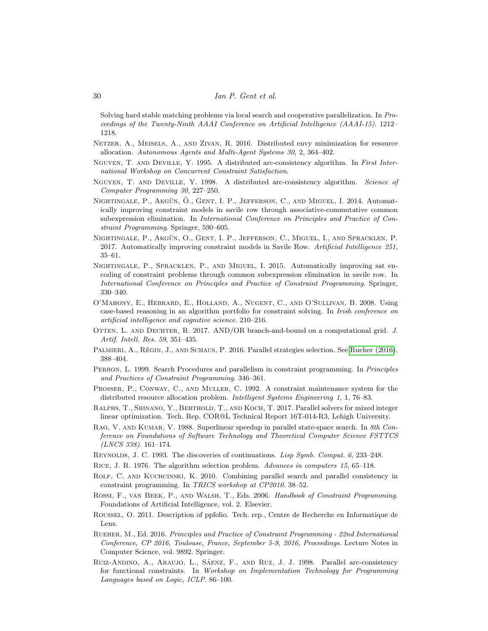Solving hard stable matching problems via local search and cooperative parallelization. In Proceedings of the Twenty-Ninth AAAI Conference on Artificial Intelligence (AAAI-15). 1212– 1218.

- <span id="page-30-7"></span>Netzer, A., Meisels, A., and Zivan, R. 2016. Distributed envy minimization for resource allocation. Autonomous Agents and Multi-Agent Systems 30, 2, 364–402.
- <span id="page-30-2"></span>Nguyen, T. and Deville, Y. 1995. A distributed arc-consistency algorithm. In First International Workshop on Concurrent Constraint Satisfaction.
- <span id="page-30-3"></span>NGUYEN, T. AND DEVILLE, Y. 1998. A distributed arc-consistency algorithm. Science of Computer Programming 30, 227–250.
- <span id="page-30-14"></span>NIGHTINGALE, P., AKGÜN, Ö., GENT, I. P., JEFFERSON, C., AND MIGUEL, I. 2014. Automatically improving constraint models in savile row through associative-commutative common subexpression elimination. In International Conference on Principles and Practice of Constraint Programming. Springer, 590–605.
- <span id="page-30-13"></span>NIGHTINGALE, P., AKGÜN, O., GENT, I. P., JEFFERSON, C., MIGUEL, I., AND SPRACKLEN, P. 2017. Automatically improving constraint models in Savile Row. Artificial Intelligence 251, 35–61.
- <span id="page-30-15"></span>Nightingale, P., Spracklen, P., and Miguel, I. 2015. Automatically improving sat encoding of constraint problems through common subexpression elimination in savile row. In International Conference on Principles and Practice of Constraint Programming. Springer, 330–340.
- <span id="page-30-12"></span>O'Mahony, E., Hebrard, E., Holland, A., Nugent, C., and O'Sullivan, B. 2008. Using case-based reasoning in an algorithm portfolio for constraint solving. In Irish conference on artificial intelligence and cognitive science. 210–216.
- Otten, L. and Dechter, R. 2017. AND/OR branch-and-bound on a computational grid. J. Artif. Intell. Res. 59, 351–435.
- PALMIERI, A., RÉGIN, J., AND SCHAUS, P. 2016. Parallel strategies selection. See Rueher (2016), 388–404.
- <span id="page-30-8"></span>Perron, L. 1999. Search Procedures and parallelism in constraint programming. In Principles and Practices of Constraint Programming. 346–361.
- <span id="page-30-1"></span>Prosser, P., Conway, C., and Muller, C. 1992. A constraint maintenance system for the distributed resource allocation problem. Intelligent Systems Engineering 1, 1, 76–83.
- <span id="page-30-0"></span>RALPHS, T., SHINANO, Y., BERTHOLD, T., AND KOCH, T. 2017. Parallel solvers for mixed integer linear optimization. Tech. Rep. COR@L Technical Report 16T-014-R3, Lehigh University.
- <span id="page-30-6"></span>RAO, V. AND KUMAR, V. 1988. Superlinear speedup in parallel state-space search. In 8th Conference on Foundations of Software Technology and Theoretical Computer Science FSTTCS (LNCS 338). 161–174.
- <span id="page-30-9"></span>REYNOLDS, J. C. 1993. The discoveries of continuations. Lisp Symb. Comput. 6, 233–248.
- <span id="page-30-11"></span>Rice, J. R. 1976. The algorithm selection problem. Advances in computers 15, 65–118.
- <span id="page-30-5"></span>Rolf, C. and Kuchcinski, K. 2010. Combining parallel search and parallel consistency in constraint programming. In TRICS workshop at CP2010. 38–52.
- ROSSI, F., VAN BEEK, P., AND WALSH, T., Eds. 2006. Handbook of Constraint Programming. Foundations of Artificial Intelligence, vol. 2. Elsevier.
- <span id="page-30-10"></span>Roussel, O. 2011. Description of ppfolio. Tech. rep., Centre de Recherche en Informatique de Lens.
- Rueher, M., Ed. 2016. Principles and Practice of Constraint Programming 22nd International Conference, CP 2016, Toulouse, France, September 5-9, 2016, Proceedings. Lecture Notes in Computer Science, vol. 9892. Springer.
- <span id="page-30-4"></span>RUIZ-ANDINO, A., ARAUJO, L., SÁENZ, F., AND RUZ, J. J. 1998. Parallel arc-consistency for functional constraints. In Workshop on Implementation Technology for Programming Languages based on Logic, ICLP. 86–100.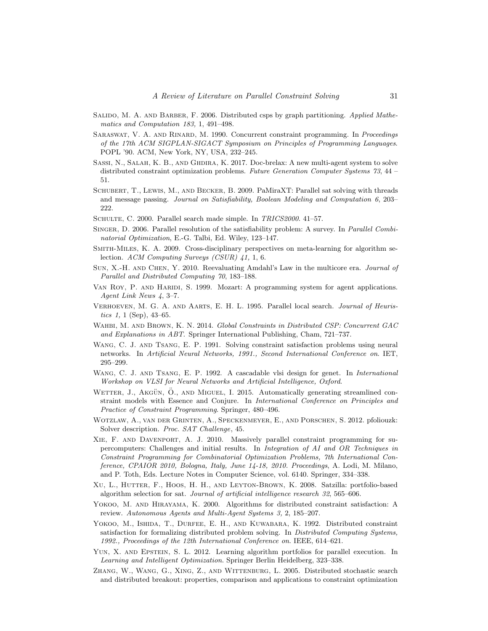- SALIDO, M. A. AND BARBER, F. 2006. Distributed csps by graph partitioning. Applied Mathematics and Computation 183, 1, 491–498.
- <span id="page-31-2"></span>SARASWAT, V. A. AND RINARD, M. 1990. Concurrent constraint programming. In Proceedings of the 17th ACM SIGPLAN-SIGACT Symposium on Principles of Programming Languages. POPL '90. ACM, New York, NY, USA, 232–245.
- <span id="page-31-11"></span>Sassi, N., Salah, K. B., and Ghdira, K. 2017. Doc-brelax: A new multi-agent system to solve distributed constraint optimization problems. Future Generation Computer Systems 73, 44 – 51.
- <span id="page-31-13"></span>Schubert, T., Lewis, M., and Becker, B. 2009. PaMiraXT: Parallel sat solving with threads and message passing. Journal on Satisfiability, Boolean Modeling and Computation 6, 203– 222.
- <span id="page-31-12"></span>SCHULTE, C. 2000. Parallel search made simple. In TRICS2000. 41-57.
- <span id="page-31-0"></span>Singer, D. 2006. Parallel resolution of the satisfiability problem: A survey. In Parallel Combinatorial Optimization, E.-G. Talbi, Ed. Wiley, 123–147.
- <span id="page-31-18"></span>Smith-Miles, K. A. 2009. Cross-disciplinary perspectives on meta-learning for algorithm selection. ACM Computing Surveys (CSUR) 41, 1, 6.
- <span id="page-31-4"></span>Sun, X.-H. and Chen, Y. 2010. Reevaluating Amdahl's Law in the multicore era. Journal of Parallel and Distributed Computing 70, 183–188.
- <span id="page-31-3"></span>VAN ROY, P. AND HARIDI, S. 1999. Mozart: A programming system for agent applications. Agent Link News 4, 3–7.
- <span id="page-31-5"></span>VERHOEVEN, M. G. A. AND AARTS, E. H. L. 1995. Parallel local search. Journal of Heuristics 1, 1 (Sep), 43–65.
- <span id="page-31-10"></span>WAHBI, M. AND BROWN, K. N. 2014. Global Constraints in Distributed CSP: Concurrent GAC and Explanations in ABT. Springer International Publishing, Cham, 721–737.
- <span id="page-31-6"></span>WANG, C. J. AND TSANG, E. P. 1991. Solving constraint satisfaction problems using neural networks. In Artificial Neural Networks, 1991., Second International Conference on. IET, 295–299.
- <span id="page-31-7"></span>WANG, C. J. AND TSANG, E. P. 1992. A cascadable vlsi design for genet. In *International* Workshop on VLSI for Neural Networks and Artificial Intelligence, Oxford.
- <span id="page-31-17"></span>WETTER, J., AKGÜN, Ö., AND MIGUEL, I. 2015. Automatically generating streamlined constraint models with Essence and Conjure. In International Conference on Principles and Practice of Constraint Programming. Springer, 480–496.
- <span id="page-31-14"></span>Wotzlaw, A., van der Grinten, A., Speckenmeyer, E., and Porschen, S. 2012. pfoliouzk: Solver description. Proc. SAT Challenge, 45.
- Xie, F. and Davenport, A. J. 2010. Massively parallel constraint programming for supercomputers: Challenges and initial results. In Integration of AI and OR Techniques in Constraint Programming for Combinatorial Optimization Problems, 7th International Conference, CPAIOR 2010, Bologna, Italy, June 14-18, 2010. Proceedings, A. Lodi, M. Milano, and P. Toth, Eds. Lecture Notes in Computer Science, vol. 6140. Springer, 334–338.
- <span id="page-31-15"></span>Xu, L., Hutter, F., Hoos, H. H., and Leyton-Brown, K. 2008. Satzilla: portfolio-based algorithm selection for sat. Journal of artificial intelligence research 32, 565–606.
- <span id="page-31-1"></span>Yokoo, M. and Hirayama, K. 2000. Algorithms for distributed constraint satisfaction: A review. Autonomous Agents and Multi-Agent Systems 3, 2, 185–207.
- <span id="page-31-8"></span>YOKOO, M., ISHIDA, T., DURFEE, E. H., AND KUWABARA, K. 1992. Distributed constraint satisfaction for formalizing distributed problem solving. In Distributed Computing Systems, 1992., Proceedings of the 12th International Conference on. IEEE, 614–621.
- <span id="page-31-16"></span>Yun, X. and Epstein, S. L. 2012. Learning algorithm portfolios for parallel execution. In Learning and Intelligent Optimization. Springer Berlin Heidelberg, 323–338.
- <span id="page-31-9"></span>Zhang, W., Wang, G., Xing, Z., and Wittenburg, L. 2005. Distributed stochastic search and distributed breakout: properties, comparison and applications to constraint optimization